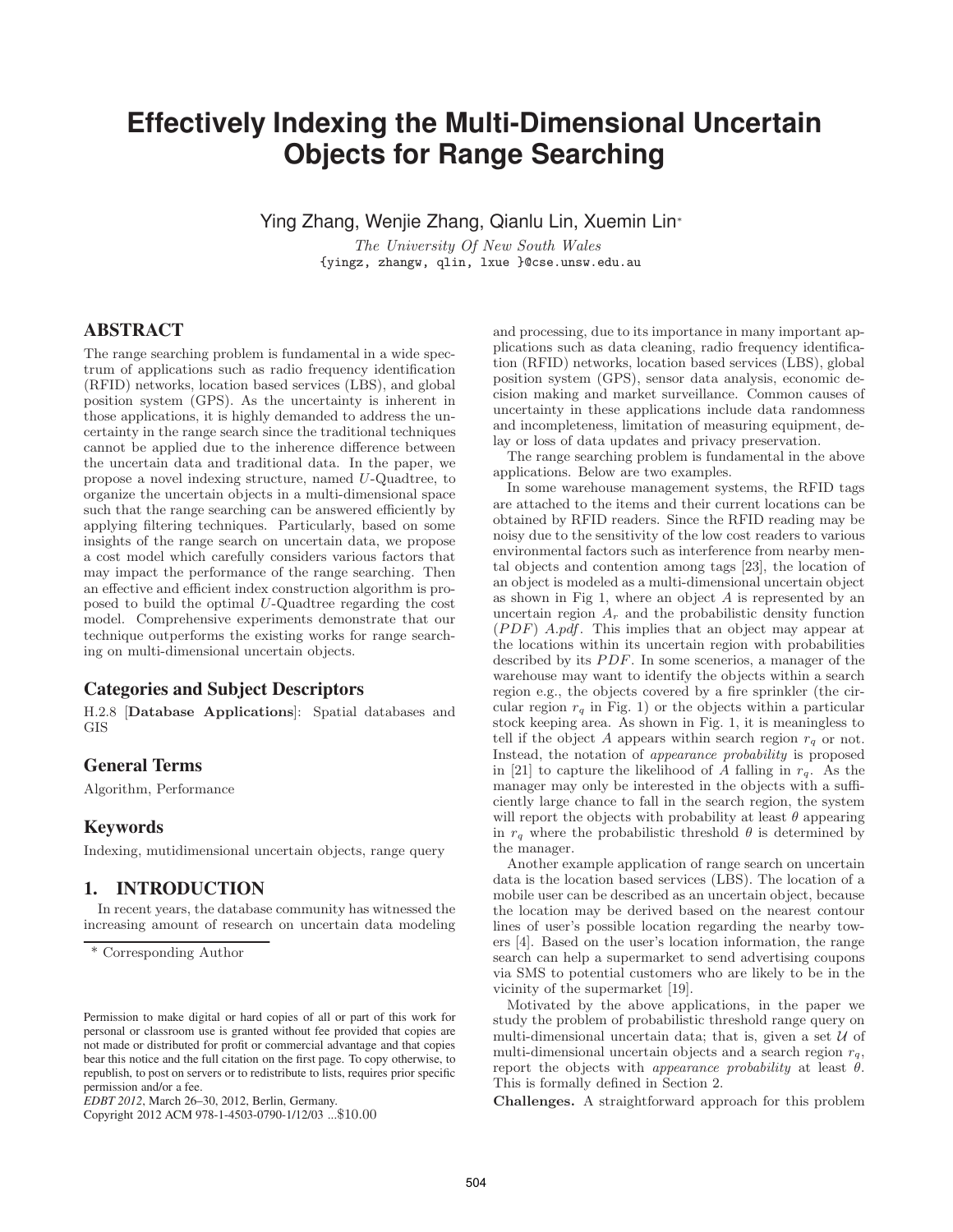# **Effectively Indexing the Multi-Dimensional Uncertain Objects for Range Searching**

Ying Zhang, Wenjie Zhang, Qianlu Lin, Xuemin Lin<sup>∗</sup>

The University Of New South Wales {yingz, zhangw, qlin, lxue }@cse.unsw.edu.au

# **ABSTRACT**

The range searching problem is fundamental in a wide spectrum of applications such as radio frequency identification (RFID) networks, location based services (LBS), and global position system (GPS). As the uncertainty is inherent in those applications, it is highly demanded to address the uncertainty in the range search since the traditional techniques cannot be applied due to the inherence difference between the uncertain data and traditional data. In the paper, we propose a novel indexing structure, named U-Quadtree, to organize the uncertain objects in a multi-dimensional space such that the range searching can be answered efficiently by applying filtering techniques. Particularly, based on some insights of the range search on uncertain data, we propose a cost model which carefully considers various factors that may impact the performance of the range searching. Then an effective and efficient index construction algorithm is proposed to build the optimal U-Quadtree regarding the cost model. Comprehensive experiments demonstrate that our technique outperforms the existing works for range searching on multi-dimensional uncertain objects.

# **Categories and Subject Descriptors**

H.2.8 [**Database Applications**]: Spatial databases and GIS

# **General Terms**

Algorithm, Performance

### **Keywords**

Indexing, mutidimensional uncertain objects, range query

# **1. INTRODUCTION**

In recent years, the database community has witnessed the increasing amount of research on uncertain data modeling

Copyright 2012 ACM 978-1-4503-0790-1/12/03 ...\$10.00

and processing, due to its importance in many important applications such as data cleaning, radio frequency identification (RFID) networks, location based services (LBS), global position system (GPS), sensor data analysis, economic decision making and market surveillance. Common causes of uncertainty in these applications include data randomness and incompleteness, limitation of measuring equipment, delay or loss of data updates and privacy preservation.

The range searching problem is fundamental in the above applications. Below are two examples.

In some warehouse management systems, the RFID tags are attached to the items and their current locations can be obtained by RFID readers. Since the RFID reading may be noisy due to the sensitivity of the low cost readers to various environmental factors such as interference from nearby mental objects and contention among tags [23], the location of an object is modeled as a multi-dimensional uncertain object as shown in Fig 1, where an object  $A$  is represented by an uncertain region  $A_r$  and the probabilistic density function (PDF) A.pdf. This implies that an object may appear at the locations within its uncertain region with probabilities described by its PDF. In some scenerios, a manager of the warehouse may want to identify the objects within a search region e.g., the objects covered by a fire sprinkler (the circular region  $r_q$  in Fig. 1) or the objects within a particular stock keeping area. As shown in Fig. 1, it is meaningless to tell if the object A appears within search region  $r_q$  or not. Instead, the notation of appearance probability is proposed in [21] to capture the likelihood of A falling in  $r_q$ . As the manager may only be interested in the objects with a sufficiently large chance to fall in the search region, the system will report the objects with probability at least  $\theta$  appearing in  $r_q$  where the probabilistic threshold  $\theta$  is determined by the manager.

Another example application of range search on uncertain data is the location based services (LBS). The location of a mobile user can be described as an uncertain object, because the location may be derived based on the nearest contour lines of user's possible location regarding the nearby towers [4]. Based on the user's location information, the range search can help a supermarket to send advertising coupons via SMS to potential customers who are likely to be in the vicinity of the supermarket [19].

Motivated by the above applications, in the paper we study the problem of probabilistic threshold range query on multi-dimensional uncertain data; that is, given a set  $\mathcal U$  of multi-dimensional uncertain objects and a search region  $r_q$ , report the objects with *appearance probability* at least  $\theta$ . This is formally defined in Section 2.

**Challenges.** A straightforward approach for this problem

<sup>\*</sup> Corresponding Author

Permission to make digital or hard copies of all or part of this work for personal or classroom use is granted without fee provided that copies are not made or distributed for profit or commercial advantage and that copies bear this notice and the full citation on the first page. To copy otherwise, to republish, to post on servers or to redistribute to lists, requires prior specific permission and/or a fee.

*EDBT 2012*, March 26–30, 2012, Berlin, Germany.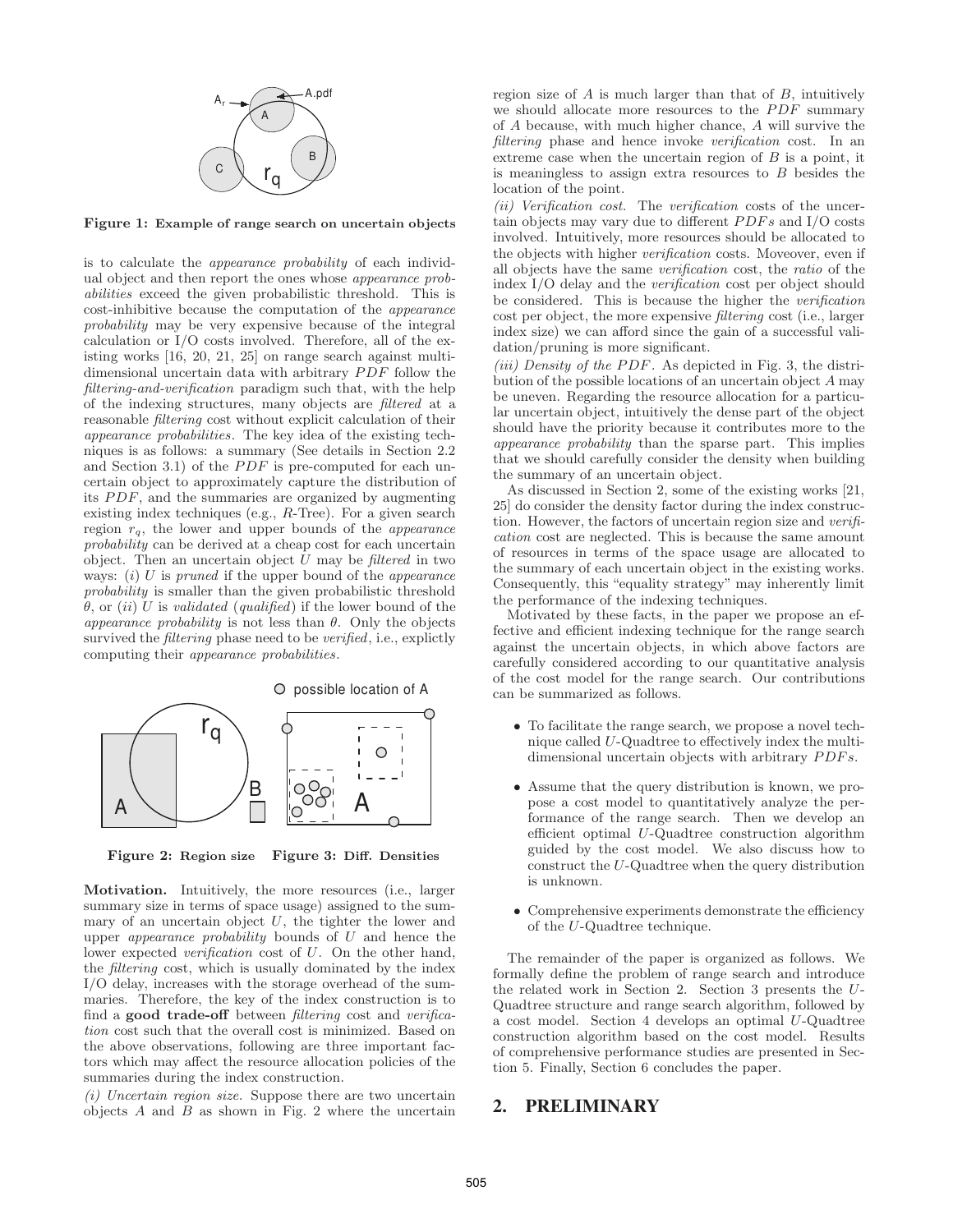

**Figure 1: Example of range search on uncertain objects**

is to calculate the appearance probability of each individual object and then report the ones whose appearance probabilities exceed the given probabilistic threshold. This is cost-inhibitive because the computation of the appearance probability may be very expensive because of the integral calculation or I/O costs involved. Therefore, all of the existing works [16, 20, 21, 25] on range search against multidimensional uncertain data with arbitrary PDF follow the filtering-and-verification paradigm such that, with the help of the indexing structures, many objects are filtered at a reasonable filtering cost without explicit calculation of their appearance probabilities. The key idea of the existing techniques is as follows: a summary (See details in Section 2.2 and Section 3.1) of the PDF is pre-computed for each uncertain object to approximately capture the distribution of its PDF, and the summaries are organized by augmenting existing index techniques (e.g., R-Tree). For a given search region  $r_q$ , the lower and upper bounds of the *appearance* probability can be derived at a cheap cost for each uncertain object. Then an uncertain object  $U$  may be *filtered* in two ways:  $(i)$  U is pruned if the upper bound of the *appearance* probability is smaller than the given probabilistic threshold  $\theta$ , or *(ii)* U is *validated (qualified)* if the lower bound of the appearance probability is not less than  $\theta$ . Only the objects survived the *filtering* phase need to be *verified*, i.e., explictly computing their appearance probabilities.



**Figure 2: Region size Figure 3: Diff. Densities**

**Motivation.** Intuitively, the more resources (i.e., larger summary size in terms of space usage) assigned to the summary of an uncertain object  $U$ , the tighter the lower and upper *appearance probability* bounds of  $U$  and hence the lower expected verification cost of U. On the other hand, the filtering cost, which is usually dominated by the index I/O delay, increases with the storage overhead of the summaries. Therefore, the key of the index construction is to find a **good trade-off** between filtering cost and verification cost such that the overall cost is minimized. Based on the above observations, following are three important factors which may affect the resource allocation policies of the summaries during the index construction.

(i) Uncertain region size. Suppose there are two uncertain objects  $A$  and  $B$  as shown in Fig. 2 where the uncertain region size of  $A$  is much larger than that of  $B$ , intuitively we should allocate more resources to the PDF summary of A because, with much higher chance, A will survive the filtering phase and hence invoke verification cost. In an extreme case when the uncertain region of  $B$  is a point, it is meaningless to assign extra resources to B besides the location of the point.

(ii) Verification cost. The verification costs of the uncertain objects may vary due to different  $PDFs$  and  $I/O$  costs involved. Intuitively, more resources should be allocated to the objects with higher verification costs. Moveover, even if all objects have the same verification cost, the ratio of the index I/O delay and the verification cost per object should be considered. This is because the higher the verification cost per object, the more expensive filtering cost (i.e., larger index size) we can afford since the gain of a successful validation/pruning is more significant.

(iii) Density of the PDF. As depicted in Fig. 3, the distribution of the possible locations of an uncertain object A may be uneven. Regarding the resource allocation for a particular uncertain object, intuitively the dense part of the object should have the priority because it contributes more to the appearance probability than the sparse part. This implies that we should carefully consider the density when building the summary of an uncertain object.

As discussed in Section 2, some of the existing works [21, 25] do consider the density factor during the index construction. However, the factors of uncertain region size and verification cost are neglected. This is because the same amount of resources in terms of the space usage are allocated to the summary of each uncertain object in the existing works. Consequently, this "equality strategy" may inherently limit the performance of the indexing techniques.

Motivated by these facts, in the paper we propose an effective and efficient indexing technique for the range search against the uncertain objects, in which above factors are carefully considered according to our quantitative analysis of the cost model for the range search. Our contributions can be summarized as follows.

- To facilitate the range search, we propose a novel technique called U-Quadtree to effectively index the multidimensional uncertain objects with arbitrary PDFs.
- Assume that the query distribution is known, we propose a cost model to quantitatively analyze the performance of the range search. Then we develop an efficient optimal U-Quadtree construction algorithm guided by the cost model. We also discuss how to construct the U-Quadtree when the query distribution is unknown.
- Comprehensive experiments demonstrate the efficiency of the U-Quadtree technique.

The remainder of the paper is organized as follows. We formally define the problem of range search and introduce the related work in Section 2. Section 3 presents the U-Quadtree structure and range search algorithm, followed by a cost model. Section 4 develops an optimal U-Quadtree construction algorithm based on the cost model. Results of comprehensive performance studies are presented in Section 5. Finally, Section 6 concludes the paper.

# **2. PRELIMINARY**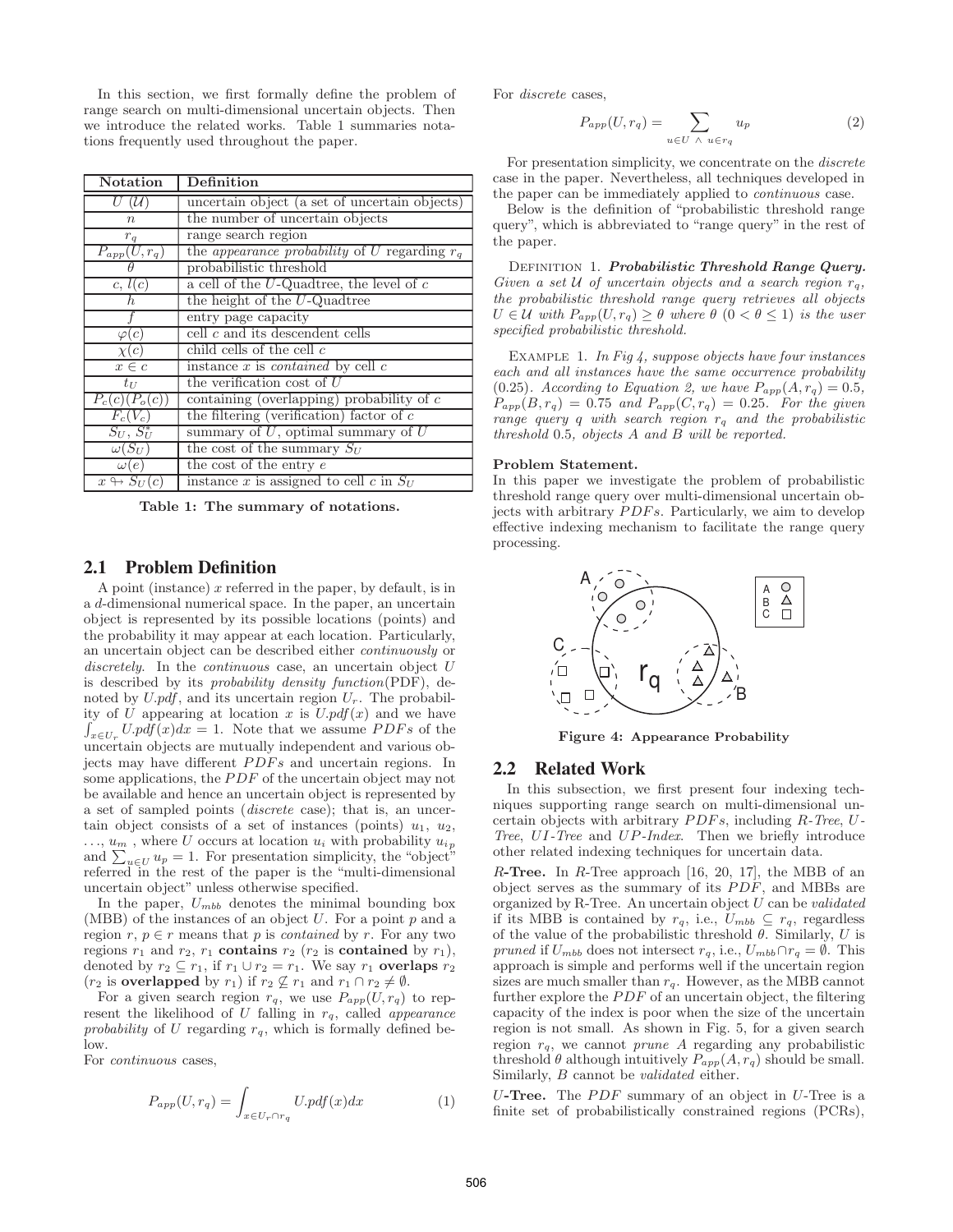In this section, we first formally define the problem of range search on multi-dimensional uncertain objects. Then we introduce the related works. Table 1 summaries notations frequently used throughout the paper.

| Notation                | Definition                                             |
|-------------------------|--------------------------------------------------------|
| $U(\mathcal{U})$        | uncertain object (a set of uncertain objects)          |
| $\eta$                  | the number of uncertain objects                        |
| $r_q$                   | range search region                                    |
| $P_{app}(U,r_q)$        | the <i>appearance probability</i> of U regarding $r_q$ |
| Ĥ                       | probabilistic threshold                                |
| c, l(c)                 | a cell of the $U$ -Quadtree, the level of $c$          |
| $\hbar$                 | the height of the $U$ -Quadtree                        |
|                         | entry page capacity                                    |
| $\varphi(\overline{c})$ | cell $c$ and its descendent cells                      |
| $\chi(c)$               | child cells of the cell $c$                            |
| $x \in c$               | instance $x$ is <i>contained</i> by cell $c$           |
| $t_U$                   | the verification cost of $U$                           |
| $P_c(c)(P_o(c))$        | containing (overlapping) probability of $c$            |
| $F_c(V_c)$              | the filtering (verification) factor of $c$             |
| $S_U, S^*_U$            | summary of $U$ , optimal summary of $U$                |
| $\omega(S_U)$           | the cost of the summary $S_U$                          |
| $\omega(e)$             | the cost of the entry e                                |
| $x \oplus S_U(c)$       | instance x is assigned to cell c in $S_U$              |

**Table 1: The summary of notations.**

# **2.1 Problem Definition**

A point (instance)  $x$  referred in the paper, by default, is in a d-dimensional numerical space. In the paper, an uncertain object is represented by its possible locations (points) and the probability it may appear at each location. Particularly, an uncertain object can be described either continuously or discretely. In the continuous case, an uncertain object U is described by its probability density function(PDF), denoted by  $U.pdf$ , and its uncertain region  $U_r$ . The probability of U appearing at location x is  $U.pdf(x)$  and we have  $\int_{x\in U_r} U.pdf(x)dx = 1$ . Note that we assume *PDFs* of the uncertain objects are mutually independent and various objects may have different *PDFs* and uncertain regions. In some applications, the PDF of the uncertain object may not be available and hence an uncertain object is represented by a set of sampled points (discrete case); that is, an uncertain object consists of a set of instances (points)  $u_1, u_2,$  $..., u_m$ , where U occurs at location  $u_i$  with probability  $u_{ip}$ and  $\sum_{u \in U} u_p = 1$ . For presentation simplicity, the "object" referred in the rest of the paper is the "multi-dimensional uncertain object" unless otherwise specified.

In the paper,  $U_{mbb}$  denotes the minimal bounding box (MBB) of the instances of an object  $U$ . For a point  $p$  and a region r,  $p \in r$  means that p is *contained* by r. For any two regions  $r_1$  and  $r_2$ ,  $r_1$  **contains**  $r_2$  ( $r_2$  is **contained** by  $r_1$ ), denoted by  $r_2 \subseteq r_1$ , if  $r_1 \cup r_2 = r_1$ . We say  $r_1$  **overlaps**  $r_2$  $(r_2$  is **overlapped** by  $r_1$ ) if  $r_2 \nsubseteq r_1$  and  $r_1 \nsubseteq r_2 \neq \emptyset$ .

For a given search region  $r_q$ , we use  $P_{app}(U, r_q)$  to represent the likelihood of  $U$  falling in  $r_q$ , called appearance probability of U regarding  $r_q$ , which is formally defined below.

For continuous cases,

$$
P_{app}(U, r_q) = \int_{x \in U_r \cap r_q} U.pdf(x)dx \tag{1}
$$

For discrete cases,

$$
P_{app}(U, r_q) = \sum_{u \in U \ \land \ u \in r_q} u_p \tag{2}
$$

For presentation simplicity, we concentrate on the discrete case in the paper. Nevertheless, all techniques developed in the paper can be immediately applied to continuous case.

Below is the definition of "probabilistic threshold range query", which is abbreviated to "range query" in the rest of the paper.

Definition 1. **Probabilistic Threshold Range Query.** Given a set U of uncertain objects and a search region  $r_q$ , the probabilistic threshold range query retrieves all objects  $U \in \mathcal{U}$  with  $P_{app}(U, r_q) \geq \theta$  where  $\theta$   $(0 < \theta \leq 1)$  is the user specified probabilistic threshold.

EXAMPLE 1. In Fig  $\downarrow$ , suppose objects have four instances each and all instances have the same occurrence probability (0.25). According to Equation 2, we have  $P_{app}(A, r_q)=0.5$ ,  $P_{app}(B, r_q)=0.75$  and  $P_{app}(C, r_q)=0.25$ . For the given range query  $q$  with search region  $r_q$  and the probabilistic threshold 0.5, objects A and B will be reported.

#### **Problem Statement.**

In this paper we investigate the problem of probabilistic threshold range query over multi-dimensional uncertain objects with arbitrary PDFs. Particularly, we aim to develop effective indexing mechanism to facilitate the range query processing.



**Figure 4: Appearance Probability**

#### **2.2 Related Work**

In this subsection, we first present four indexing techniques supporting range search on multi-dimensional uncertain objects with arbitrary  $PDFs$ , including  $R$ -Tree,  $U$ -Tree, UI-Tree and UP-Index. Then we briefly introduce other related indexing techniques for uncertain data.

R**-Tree.** In R-Tree approach [16, 20, 17], the MBB of an object serves as the summary of its PDF, and MBBs are organized by R-Tree. An uncertain object  $U$  can be *validated* if its MBB is contained by  $r_q$ , i.e.,  $U_{mbb} \subseteq r_q$ , regardless of the value of the probabilistic threshold  $\theta$ . Similarly, U is pruned if  $U_{mbb}$  does not intersect  $r_q$ , i.e.,  $U_{mbb} \cap r_q = \emptyset$ . This approach is simple and performs well if the uncertain region sizes are much smaller than  $r_q.$  However, as the MBB cannot further explore the PDF of an uncertain object, the filtering capacity of the index is poor when the size of the uncertain region is not small. As shown in Fig. 5, for a given search region  $r_q$ , we cannot *prune A* regarding any probabilistic threshold  $\theta$  although intuitively  $P_{app}(A, r_q)$  should be small. Similarly, B cannot be validated either.

U**-Tree.** The PDF summary of an object in U-Tree is a finite set of probabilistically constrained regions (PCRs),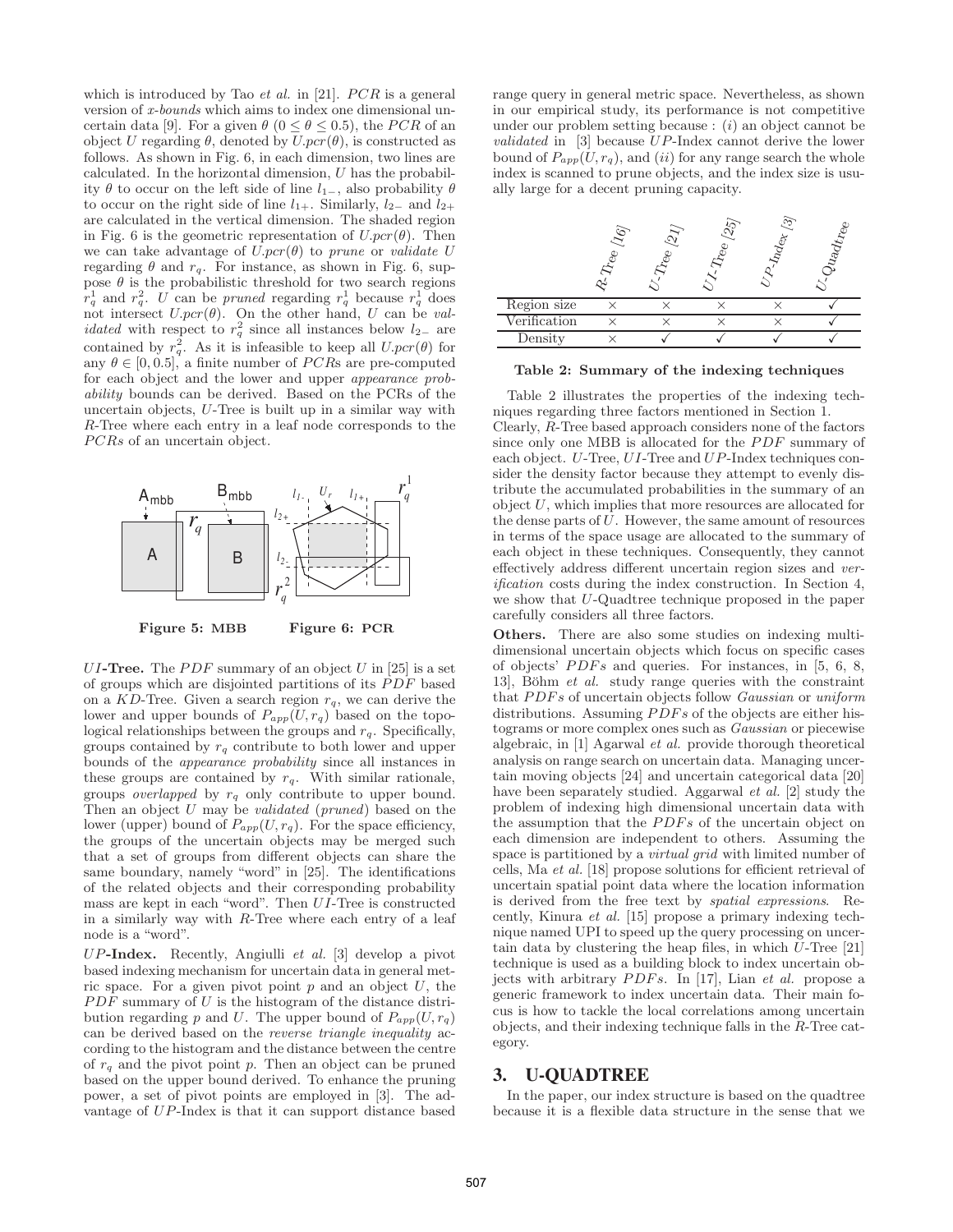which is introduced by Tao *et al.* in [21].  $PCR$  is a general version of x-bounds which aims to index one dimensional uncertain data [9]. For a given  $\theta$  ( $0 \le \theta \le 0.5$ ), the *PCR* of an object U regarding  $\theta$ , denoted by  $U.pcr(\theta)$ , is constructed as follows. As shown in Fig. 6, in each dimension, two lines are calculated. In the horizontal dimension, U has the probability  $\theta$  to occur on the left side of line  $l_{1-}$ , also probability  $\theta$ to occur on the right side of line  $l_{1+}$ . Similarly,  $l_{2-}$  and  $l_{2+}$ are calculated in the vertical dimension. The shaded region in Fig. 6 is the geometric representation of  $U.pcr(\theta)$ . Then we can take advantage of  $U.pcr(\theta)$  to prune or validate U regarding  $\theta$  and  $r_q$ . For instance, as shown in Fig. 6, suppose  $\theta$  is the probabilistic threshold for two search regions  $r_q^1$  and  $r_q^2$ . U can be pruned regarding  $r_q^1$  because  $r_q^1$  does not intersect  $U.pcr(\theta)$ . On the other hand, U can be val*idated* with respect to  $r_q^2$  since all instances below  $l_{2-}$  are contained by  $r_q^2$ . As it is infeasible to keep all  $U.pcr(\theta)$  for any  $\theta \in [0, 0.5]$ , a finite number of *PCRs* are pre-computed for each object and the lower and upper appearance probability bounds can be derived. Based on the PCRs of the uncertain objects, U-Tree is built up in a similar way with R-Tree where each entry in a leaf node corresponds to the PCRs of an uncertain object.



UI-Tree. The  $PDF$  summary of an object U in [25] is a set of groups which are disjointed partitions of its PDF based on a KD-Tree. Given a search region  $r_q$ , we can derive the lower and upper bounds of  $P_{app}(U, r_q)$  based on the topological relationships between the groups and  $r_q$ . Specifically, groups contained by  $r_q$  contribute to both lower and upper bounds of the appearance probability since all instances in these groups are contained by  $r_q$ . With similar rationale, groups *overlapped* by  $r_q$  only contribute to upper bound. Then an object  $U$  may be *validated* (*pruned*) based on the lower (upper) bound of  $P_{app}(U, r_q)$ . For the space efficiency, the groups of the uncertain objects may be merged such that a set of groups from different objects can share the same boundary, namely "word" in [25]. The identifications of the related objects and their corresponding probability mass are kept in each "word". Then UI-Tree is constructed in a similarly way with R-Tree where each entry of a leaf node is a "word".

UP**-Index.** Recently, Angiulli et al. [3] develop a pivot based indexing mechanism for uncertain data in general metric space. For a given pivot point  $p$  and an object  $U$ , the  $PDF$  summary of  $U$  is the histogram of the distance distribution regarding p and U. The upper bound of  $P_{app}(U, r_q)$ can be derived based on the reverse triangle inequality according to the histogram and the distance between the centre of  $r<sub>a</sub>$  and the pivot point p. Then an object can be pruned based on the upper bound derived. To enhance the pruning power, a set of pivot points are employed in [3]. The advantage of UP-Index is that it can support distance based

range query in general metric space. Nevertheless, as shown in our empirical study, its performance is not competitive under our problem setting because  $: (i)$  an object cannot be validated in [3] because UP-Index cannot derive the lower bound of  $P_{app}(\dot{U}, r_q)$ , and  $(ii)$  for any range search the whole index is scanned to prune objects, and the index size is usually large for a decent pruning capacity.

|              | $\overline{\mathcal{U}}$<br>$\mathscr{E}$ | ري<br>reg. | $\tilde{\mathcal{S}}$<br>Leo<br>H | ఌ<br>$I_{\!\!M\!\!Q_{\mathcal{C}}^\circ}$ | $\partial u_{2}d_{tr_{\Theta}}$ |
|--------------|-------------------------------------------|------------|-----------------------------------|-------------------------------------------|---------------------------------|
| Region size  |                                           |            |                                   |                                           |                                 |
| Verification |                                           |            |                                   |                                           |                                 |
| Density      |                                           |            |                                   |                                           |                                 |

**Table 2: Summary of the indexing techniques**

Table 2 illustrates the properties of the indexing techniques regarding three factors mentioned in Section 1. Clearly, R-Tree based approach considers none of the factors since only one MBB is allocated for the PDF summary of each object. U-Tree, UI-Tree and UP-Index techniques consider the density factor because they attempt to evenly distribute the accumulated probabilities in the summary of an object  $U$ , which implies that more resources are allocated for the dense parts of  $U$ . However, the same amount of resources in terms of the space usage are allocated to the summary of each object in these techniques. Consequently, they cannot effectively address different uncertain region sizes and verification costs during the index construction. In Section 4, we show that U-Quadtree technique proposed in the paper carefully considers all three factors.

**Others.** There are also some studies on indexing multidimensional uncertain objects which focus on specific cases of objects'  $PDFs$  and queries. For instances, in [5, 6, 8, 13], Böhm  $et$  al. study range queries with the constraint that PDFs of uncertain objects follow Gaussian or uniform distributions. Assuming  $PDFs$  of the objects are either histograms or more complex ones such as Gaussian or piecewise algebraic, in [1] Agarwal et al. provide thorough theoretical analysis on range search on uncertain data. Managing uncertain moving objects [24] and uncertain categorical data [20] have been separately studied. Aggarwal et al. [2] study the problem of indexing high dimensional uncertain data with the assumption that the PDFs of the uncertain object on each dimension are independent to others. Assuming the space is partitioned by a virtual grid with limited number of cells, Ma et al. [18] propose solutions for efficient retrieval of uncertain spatial point data where the location information is derived from the free text by spatial expressions. Recently, Kinura et al. [15] propose a primary indexing technique named UPI to speed up the query processing on uncertain data by clustering the heap files, in which  $U$ -Tree [21] technique is used as a building block to index uncertain objects with arbitrary  $PDFs$ . In [17], Lian *et al.* propose a generic framework to index uncertain data. Their main focus is how to tackle the local correlations among uncertain objects, and their indexing technique falls in the R-Tree category.

# **3. U-QUADTREE**

In the paper, our index structure is based on the quadtree because it is a flexible data structure in the sense that we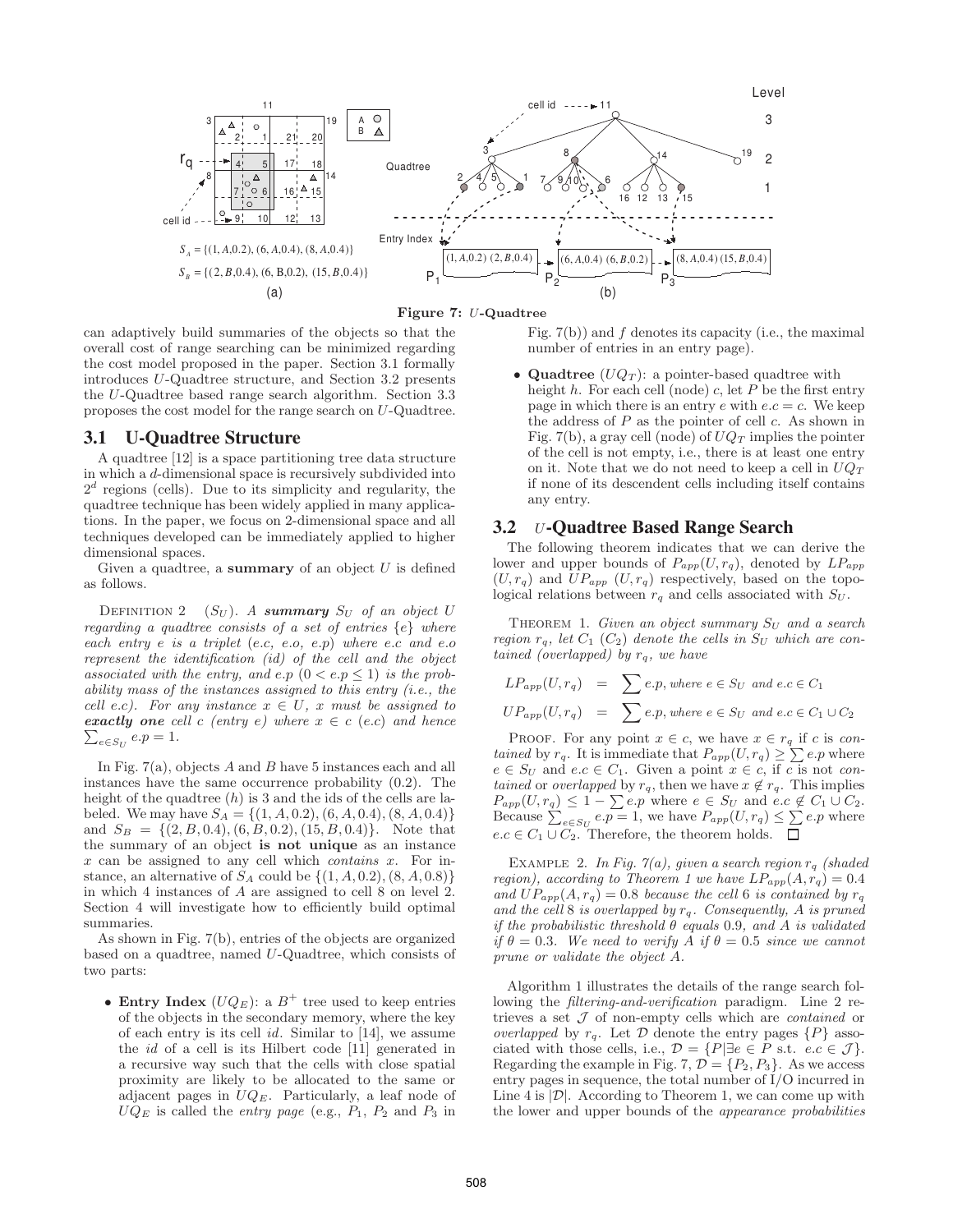

**Figure 7:** U**-Quadtree**

can adaptively build summaries of the objects so that the overall cost of range searching can be minimized regarding the cost model proposed in the paper. Section 3.1 formally introduces U-Quadtree structure, and Section 3.2 presents the U-Quadtree based range search algorithm. Section 3.3 proposes the cost model for the range search on U-Quadtree.

#### **3.1 U-Quadtree Structure**

A quadtree [12] is a space partitioning tree data structure in which a d-dimensional space is recursively subdivided into  $2<sup>d</sup>$  regions (cells). Due to its simplicity and regularity, the quadtree technique has been widely applied in many applications. In the paper, we focus on 2-dimensional space and all techniques developed can be immediately applied to higher dimensional spaces.

Given a quadtree, a **summary** of an object  $U$  is defined as follows.

DEFINITION 2  $(S_U)$ . A **summary**  $S_U$  of an object U regarding a quadtree consists of a set of entries  $\{e\}$  where each entry e is a triplet (e.c, e.o, e.p) where e.c and e.o represent the identification (id) of the cell and the object associated with the entry, and e.p  $(0 < e.p \le 1)$  is the probability mass of the instances assigned to this entry (i.e., the cell e.c). For any instance  $x \in U$ , x must be assigned to **exactly one** cell c (entry e) where  $x \in c$  (e.c) and hence  $\sum_{e \in S_U} e.p = 1.$ 

In Fig.  $7(a)$ , objects A and B have 5 instances each and all instances have the same occurrence probability (0.2). The height of the quadtree  $(h)$  is 3 and the ids of the cells are labeled. We may have  $S_A = \{(1, A, 0.2), (6, A, 0.4), (8, A, 0.4)\}$ and  $S_B = \{(2, B, 0.4), (6, B, 0.2), (15, B, 0.4)\}.$  Note that the summary of an object **is not unique** as an instance  $x$  can be assigned to any cell which *contains*  $x$ . For instance, an alternative of  $S_A$  could be  $\{(1, A, 0.2), (8, A, 0.8)\}\$ in which 4 instances of A are assigned to cell 8 on level 2. Section 4 will investigate how to efficiently build optimal summaries.

As shown in Fig. 7(b), entries of the objects are organized based on a quadtree, named U-Quadtree, which consists of two parts:

• **Entry Index**  $(UQ_E)$ : a  $B^+$  tree used to keep entries of the objects in the secondary memory, where the key of each entry is its cell  $id$ . Similar to [14], we assume the id of a cell is its Hilbert code [11] generated in a recursive way such that the cells with close spatial proximity are likely to be allocated to the same or adjacent pages in  $UQ_E$ . Particularly, a leaf node of  $UQ_E$  is called the *entry page* (e.g.,  $P_1$ ,  $P_2$  and  $P_3$  in

Fig.  $7(b)$  and f denotes its capacity (i.e., the maximal number of entries in an entry page).

• **Quadtree**  $(UQ_T)$ : a pointer-based quadtree with height h. For each cell (node) c, let P be the first entry page in which there is an entry  $e$  with  $e.c = c$ . We keep the address of  $P$  as the pointer of cell  $c$ . As shown in Fig. 7(b), a gray cell (node) of  $UQ_T$  implies the pointer of the cell is not empty, i.e., there is at least one entry on it. Note that we do not need to keep a cell in  $UQ_T$ if none of its descendent cells including itself contains any entry.

# **3.2** U**-Quadtree Based Range Search**

The following theorem indicates that we can derive the lower and upper bounds of  $P_{app}(U, r_q)$ , denoted by  $LP_{app}$  $(U, r_q)$  and  $UP_{app}$   $(U, r_q)$  respectively, based on the topological relations between  $r_q$  and cells associated with  $S_U$ .

THEOREM 1. Given an object summary  $S_U$  and a search region  $r_q$ , let  $C_1$   $(C_2)$  denote the cells in  $S_U$  which are contained (overlapped) by  $r_q$ , we have

$$
LP_{app}(U, r_q) = \sum e.p, where \ e \in S_U \ and \ e.c \in C_1
$$
  

$$
UP_{app}(U, r_q) = \sum e.p, where \ e \in S_U \ and \ e.c \in C_1 \cup C_2
$$

PROOF. For any point  $x \in c$ , we have  $x \in r_q$  if c is contained by  $r_q$ . It is immediate that  $P_{app}(U, r_q) \geq \sum e.p$  where  $e \in S_U$  and  $e.c \in C_1$ . Given a point  $x \in c$ , if c is not contained or overlapped by  $r_q$ , then we have  $x \notin r_q$ . This implies  $P_{app}(U, r_q) \leq 1 - \sum e.p$  where  $e \in S_U$  and  $e.c \notin C_1 \cup C_2$ . Because  $\sum_{e \in S_U} e.p = 1$ , we have  $P_{app}(U, r_q) \leq \sum e.p$  where  $e.c \in C_1 \cup C_2$ . Therefore, the theorem holds.

EXAMPLE 2. In Fig.  $7(a)$ , given a search region  $r_q$  (shaded region), according to Theorem 1 we have  $LP_{app}(A, r_q)=0.4$ and  $UP_{app}(A, r_q)=0.8$  because the cell 6 is contained by  $r_q$ and the cell 8 is overlapped by  $r_q$ . Consequently, A is pruned if the probabilistic threshold  $\theta$  equals 0.9, and A is validated if  $\theta = 0.3$ . We need to verify A if  $\theta = 0.5$  since we cannot prune or validate the object A.

Algorithm 1 illustrates the details of the range search following the filtering-and-verification paradigm. Line 2 retrieves a set  $J$  of non-empty cells which are *contained* or overlapped by  $r_q$ . Let  $\mathcal D$  denote the entry pages  $\{P\}$  associated with those cells, i.e.,  $\mathcal{D} = \{P | \exists e \in P \text{ s.t. } e.c \in \mathcal{J}\}.$ Regarding the example in Fig. 7,  $\mathcal{D} = \{P_2, P_3\}$ . As we access entry pages in sequence, the total number of I/O incurred in Line 4 is  $|\mathcal{D}|$ . According to Theorem 1, we can come up with the lower and upper bounds of the appearance probabilities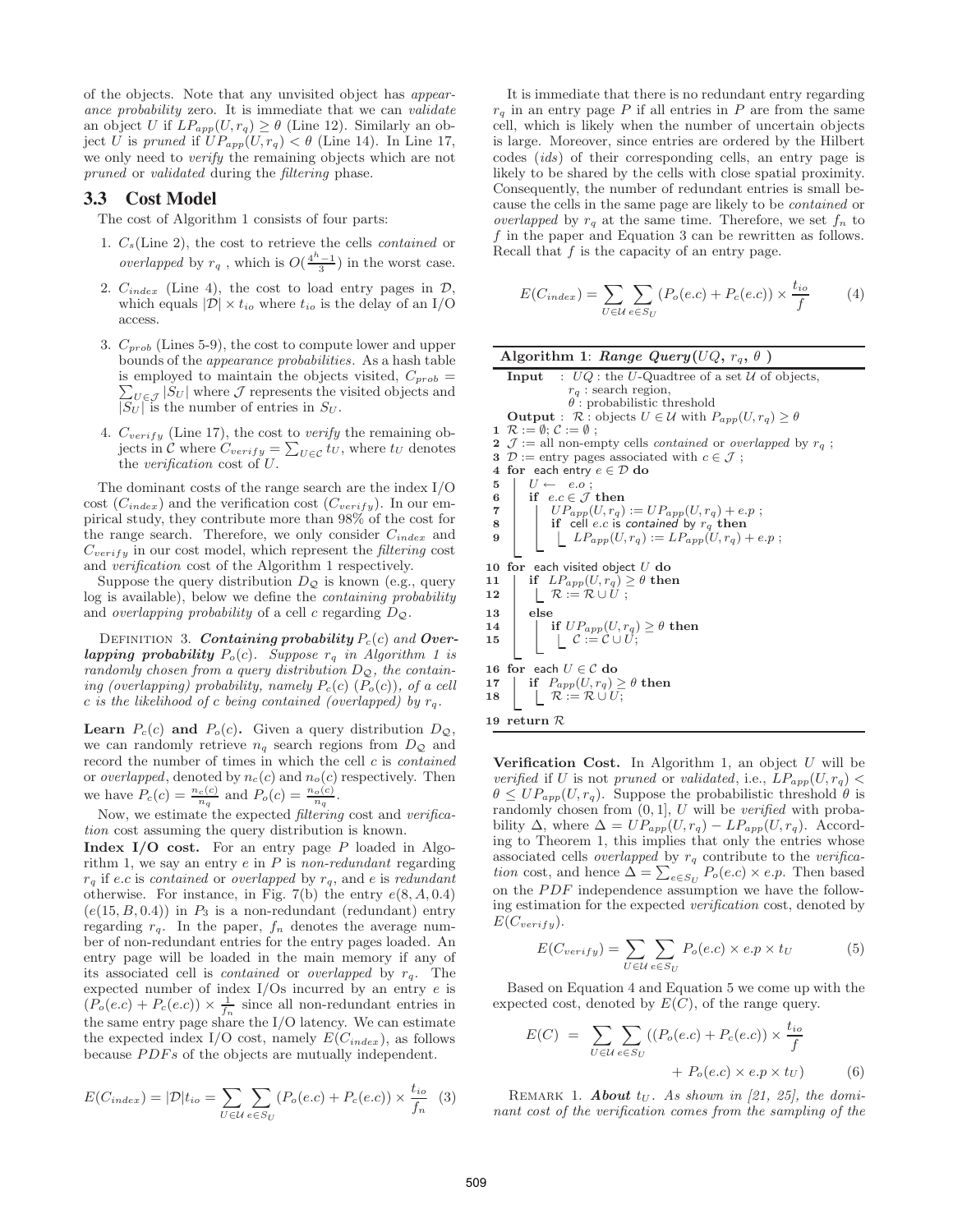of the objects. Note that any unvisited object has appearance probability zero. It is immediate that we can validate an object U if  $LP_{app}(U, r_q) \geq \theta$  (Line 12). Similarly an object U is pruned if  $UP_{app}(U, r_q) < \theta$  (Line 14). In Line 17, we only need to *verify* the remaining objects which are not pruned or validated during the filtering phase.

#### **3.3 Cost Model**

The cost of Algorithm 1 consists of four parts:

- 1.  $C_s$ (Line 2), the cost to retrieve the cells *contained* or *overlapped* by  $r_q$ , which is  $O(\frac{4^h-1}{3})$  in the worst case.
- 2.  $C_{index}$  (Line 4), the cost to load entry pages in  $\mathcal{D}$ , which equals  $|\mathcal{D}| \times t_{io}$  where  $t_{io}$  is the delay of an I/O access.
- 3.  $C_{prob}$  (Lines 5-9), the cost to compute lower and upper bounds of the appearance probabilities. As a hash table  $\sum_{U\in\mathcal{J}}|S_U|$  where  $\mathcal J$  represents the visited objects and is employed to maintain the objects visited,  $C_{prob}$  =  $|S_U|$  is the number of entries in  $S_U$ .
- 4.  $C_{verify}$  (Line 17), the cost to *verify* the remaining objects in  $\mathcal C$  where  $C_{verify} = \sum_{U \in \mathcal C} t_U$ , where  $t_U$  denotes the verification cost of U.

The dominant costs of the range search are the index I/O cost  $(C_{index})$  and the verification cost  $(C_{verify})$ . In our empirical study, they contribute more than 98% of the cost for the range search. Therefore, we only consider  $C_{index}$  and  $C_{verify}$  in our cost model, which represent the *filtering* cost and verification cost of the Algorithm 1 respectively.

Suppose the query distribution  $D_{\mathcal{Q}}$  is known (e.g., query log is available), below we define the containing probability and *overlapping probability* of a cell c regarding  $D_{\mathcal{Q}}$ .

DEFINITION 3. **Containing probability**  $P_c(c)$  and **Overlapping probability**  $P_o(c)$ . Suppose  $r_q$  in Algorithm 1 is randomly chosen from a query distribution  $D_{\mathcal{Q}}$ , the containing (overlapping) probability, namely  $P_c(c)$   $(P_o(c))$ , of a cell c is the likelihood of c being contained (overlapped) by  $r_q$ .

**Learn**  $P_c(c)$  **and**  $P_o(c)$ **.** Given a query distribution  $D_{\mathcal{Q}}$ , we can randomly retrieve  $n_q$  search regions from  $D_{\mathcal{Q}}$  and record the number of times in which the cell  $c$  is *contained* or *overlapped*, denoted by  $n_c(c)$  and  $n_o(c)$  respectively. Then we have  $P_c(c) = \frac{n_c(c)}{n_q}$  and  $P_o(c) = \frac{n_o(c)}{n_q}$ .

Now, we estimate the expected *filtering* cost and *verifica*tion cost assuming the query distribution is known.

**Index I/O cost.** For an entry page P loaded in Algorithm 1, we say an entry  $e$  in  $P$  is non-redundant regarding  $r_q$  if e.c is contained or overlapped by  $r_q$ , and e is redundant otherwise. For instance, in Fig. 7(b) the entry  $e(8, A, 0.4)$  $(e(15, B, 0.4))$  in  $P_3$  is a non-redundant (redundant) entry regarding  $r_q$ . In the paper,  $f_n$  denotes the average number of non-redundant entries for the entry pages loaded. An entry page will be loaded in the main memory if any of its associated cell is *contained* or *overlapped* by  $r_q$ . The expected number of index  $I/Os$  incurred by an entry  $e$  is  $(P_o(e.c) + P_c(e.c)) \times \frac{1}{f_n}$  since all non-redundant entries in the same entry page share the I/O latency. We can estimate the expected index I/O cost, namely  $E(C_{index})$ , as follows because *PDFs* of the objects are mutually independent.

$$
E(C_{index}) = |\mathcal{D}|t_{io} = \sum_{U \in \mathcal{U}} \sum_{e \in S_U} (P_o(e.c) + P_c(e.c)) \times \frac{t_{io}}{f_n} \quad (3)
$$

It is immediate that there is no redundant entry regarding  $r_q$  in an entry page P if all entries in P are from the same cell, which is likely when the number of uncertain objects is large. Moreover, since entries are ordered by the Hilbert codes (ids) of their corresponding cells, an entry page is likely to be shared by the cells with close spatial proximity. Consequently, the number of redundant entries is small because the cells in the same page are likely to be contained or overlapped by  $r_q$  at the same time. Therefore, we set  $f_n$  to f in the paper and Equation 3 can be rewritten as follows. Recall that  $f$  is the capacity of an entry page.

$$
E(C_{index}) = \sum_{U \in \mathcal{U}} \sum_{e \in S_U} (P_o(e.c) + P_c(e.c)) \times \frac{t_{io}}{f}
$$
 (4)

**Algorithm 1**: **Range Query** $(UQ, r_q, \theta)$ **Input** :  $UQ$ : the U-Quadtree of a set  $U$  of objects,  $\boldsymbol{r}_q$  : search region,  $\theta$ : probabilistic threshold **Output** :  $\mathcal{R}$  : objects  $U \in \mathcal{U}$  with  $P_{app}(U, r_q) \ge \theta$ 1  $\mathcal{R} := \emptyset; \mathcal{C} := \emptyset;$ **2**  $\mathcal{J}$  := all non-empty cells *contained* or *overlapped* by  $r_q$ ;  $\mathbf 3 \ \mathcal D := \mbox{entry pages associated with } c \in \mathcal J$  ; **4** for each entry  $e \in \mathcal{D}$  do **5**  $U \leftarrow e.o$ ;  $U \leftarrow e.o ;$ **6 if**  $e.c \in \mathcal{J}$  **then**<br>**7 i**  $UP_{ann}(U, r_a)$  $UP_{app}(U, r_q) := UP_{app}(U, r_q) + e.p;$ **8 i if** cell *e.c* is contained by  $r_q$  then **9**  $\downarrow$   $\downarrow$   $\downarrow$   $\downarrow$   $\downarrow$   $\downarrow$   $\downarrow$   $\downarrow$   $\downarrow$   $\downarrow$   $\downarrow$   $\downarrow$   $\downarrow$   $\downarrow$   $\downarrow$   $\downarrow$   $\downarrow$   $\downarrow$   $\downarrow$   $\downarrow$   $\downarrow$   $\downarrow$   $\downarrow$   $\downarrow$   $\downarrow$   $\downarrow$   $\downarrow$   $\downarrow$   $\downarrow$   $\downarrow$   $\downarrow$   $\downarrow$   $\downarrow$   $\downarrow$   $\downarrow$   $\downarrow$  **<sup>10</sup> for** each visited object U **do 11 if**  $LP_{app}(U, r_q) \geq \theta$  **then 12**  $R := \mathcal{R} \cup U$ ; **13 else 14 if**  $UP_{app}(U, r_q) \geq \theta$  **then 15**  $\begin{bmatrix} \cdot & \cdot & \cdot \\ \cdot & \cdot & \cdot \\ \cdot & \cdot & \cdot \end{bmatrix}$   $\mathcal{C} := \mathcal{C} \cup U;$ **16** for each  $U \in \mathcal{C}$  do **17 if**  $P_{app}(U, r_q) \geq \theta$  **then 18**  $\mathbb{R} := \mathcal{R} \cup U;$ **19 return** R

**Verification Cost.** In Algorithm 1, an object  $U$  will be verified if U is not pruned or validated, i.e.,  $LP_{app}(U, r_q)$  $\theta \leq UP_{app}(U, r_q)$ . Suppose the probabilistic threshold  $\theta$  is randomly chosen from  $(0, 1]$ , U will be *verified* with probability  $\Delta$ , where  $\Delta = UP_{app}(U, r_q) - LP_{app}(U, r_q)$ . According to Theorem 1, this implies that only the entries whose associated cells *overlapped* by  $r_q$  contribute to the *verification* cost, and hence  $\Delta = \sum_{e \in S_U} P_o(e.c) \times e.p.$  Then based on the PDF independence assumption we have the following estimation for the expected verification cost, denoted by  $E(C_{verify}).$ 

$$
E(C_{verify}) = \sum_{U \in \mathcal{U}} \sum_{e \in S_U} P_o(e.c) \times e.p \times tv \tag{5}
$$

Based on Equation 4 and Equation 5 we come up with the expected cost, denoted by  $E(C)$ , of the range query.

$$
E(C) = \sum_{U \in \mathcal{U}} \sum_{e \in S_U} ((P_o(e.c) + P_c(e.c)) \times \frac{t_{io}}{f} + P_o(e.c) \times e.p \times t_U)
$$
(6)

REMARK 1. **About**  $t_U$ . As shown in [21, 25], the dominant cost of the verification comes from the sampling of the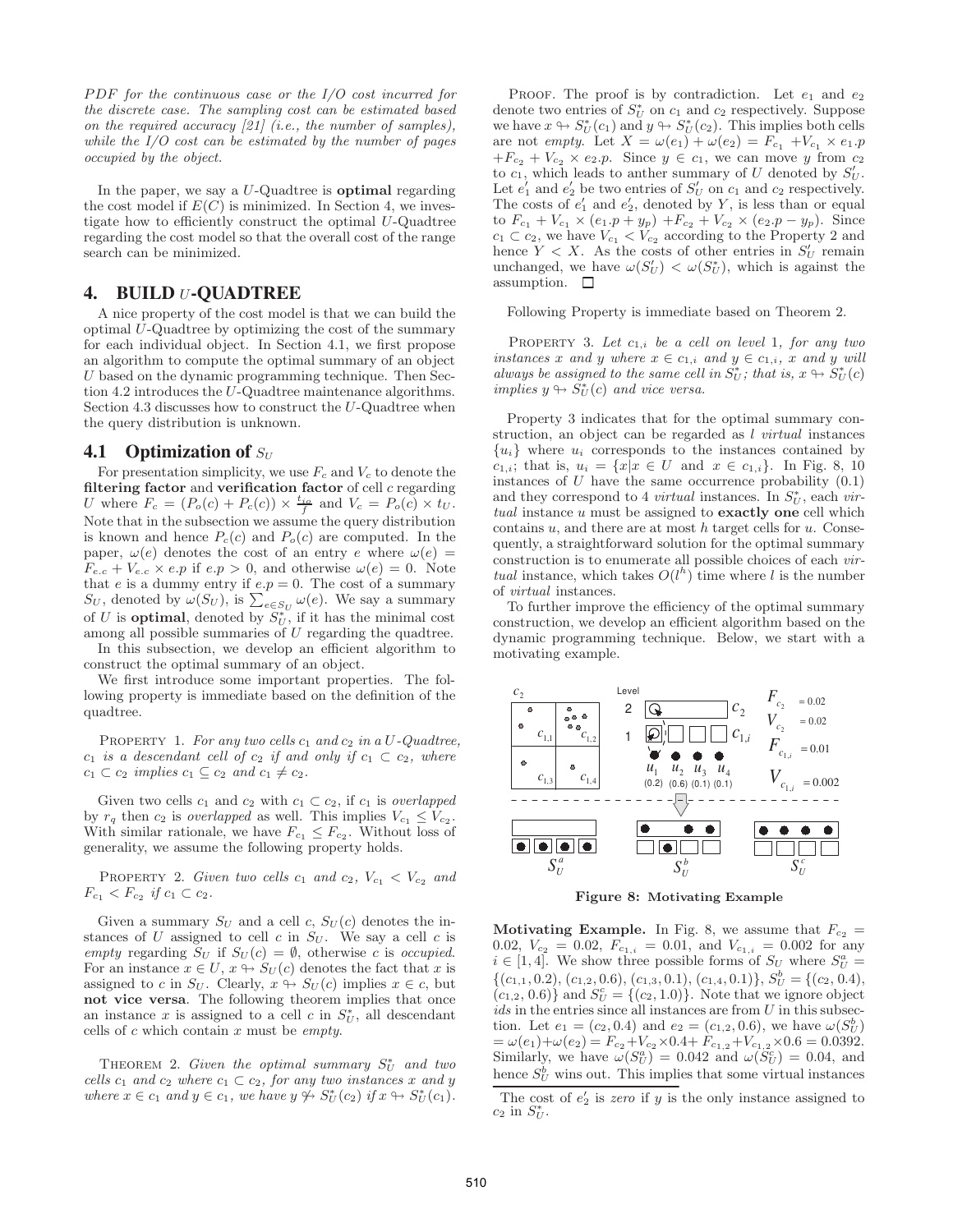PDF for the continuous case or the I/O cost incurred for the discrete case. The sampling cost can be estimated based on the required accuracy  $[21]$  (i.e., the number of samples), while the  $I/O$  cost can be estimated by the number of pages occupied by the object.

In the paper, we say a U-Quadtree is **optimal** regarding the cost model if  $E(C)$  is minimized. In Section 4, we investigate how to efficiently construct the optimal U-Quadtree regarding the cost model so that the overall cost of the range search can be minimized.

# **4. BUILD** U**-QUADTREE**

A nice property of the cost model is that we can build the optimal U-Quadtree by optimizing the cost of the summary for each individual object. In Section 4.1, we first propose an algorithm to compute the optimal summary of an object U based on the dynamic programming technique. Then Section 4.2 introduces the U-Quadtree maintenance algorithms. Section 4.3 discusses how to construct the  $U$ -Quadtree when the query distribution is unknown.

#### **4.1** Optimization of  $S_U$

For presentation simplicity, we use  $F_c$  and  $V_c$  to denote the **filtering factor** and **verification factor** of cell c regarding U where  $F_c = (P_o(c) + P_c(c)) \times \frac{t_{io}}{f}$  and  $V_c = P_o(c) \times t_U$ . Note that in the subsection we assume the query distribution is known and hence  $P_c(c)$  and  $P_o(c)$  are computed. In the paper,  $\omega(e)$  denotes the cost of an entry e where  $\omega(e)$  =  $F_{e,c} + V_{e,c} \times e.p$  if  $e.p > 0$ , and otherwise  $\omega(e) = 0$ . Note that  $e$  is a dummy entry if  $e.p = 0$ . The cost of a summary  $S_U$ , denoted by  $\omega(S_U)$ , is  $\sum_{e \in S_U} \omega(e)$ . We say a summary of U is **optimal**, denoted by  $S_U^*$ , if it has the minimal cost among all possible summaries of  $U$  regarding the quadtree.

In this subsection, we develop an efficient algorithm to construct the optimal summary of an object.

We first introduce some important properties. The following property is immediate based on the definition of the quadtree.

PROPERTY 1. For any two cells  $c_1$  and  $c_2$  in a U-Quadtree,  $c_1$  is a descendant cell of  $c_2$  if and only if  $c_1 \subset c_2$ , where  $c_1 \subset c_2$  implies  $c_1 \subseteq c_2$  and  $c_1 \neq c_2$ .

Given two cells  $c_1$  and  $c_2$  with  $c_1 \subset c_2$ , if  $c_1$  is *overlapped* by  $r_q$  then  $c_2$  is *overlapped* as well. This implies  $V_{c_1} \leq V_{c_2}$ . With similar rationale, we have  $F_{c_1} \leq F_{c_2}$ . Without loss of generality, we assume the following property holds.

PROPERTY 2. Given two cells  $c_1$  and  $c_2$ ,  $V_{c_1} < V_{c_2}$  and  $F_{c_1} < F_{c_2}$  if  $c_1 \subset c_2$ .

Given a summary  $S_U$  and a cell c,  $S_U(c)$  denotes the instances of U assigned to cell c in  $S_U$ . We say a cell c is empty regarding  $S_U$  if  $S_U(c) = \emptyset$ , otherwise c is occupied. For an instance  $x \in U$ ,  $x \mapsto S_U(c)$  denotes the fact that x is assigned to c in  $S_U$ . Clearly,  $x \nightharpoonup S_U(c)$  implies  $x \in c$ , but **not vice versa**. The following theorem implies that once an instance x is assigned to a cell c in  $S_U^*$ , all descendant cells of  $c$  which contain  $x$  must be *empty*.

THEOREM 2. Given the optimal summary  $S_U^*$  and two cells  $c_1$  and  $c_2$  where  $c_1 \subset c_2$ , for any two instances x and y where  $x \in c_1$  and  $y \in c_1$ , we have  $y \not\rightarrow S_U^*(c_2)$  if  $x \leftrightarrow S_U^*(c_1)$ .

PROOF. The proof is by contradiction. Let  $e_1$  and  $e_2$ denote two entries of  $S_U^*$  on  $c_1$  and  $c_2$  respectively. Suppose we have  $x \oplus S^*_{U}(c_1)$  and  $y \oplus S^*_{U}(c_2)$ . This implies both cells are not empty. Let  $X = \omega(e_1) + \omega(e_2) = F_{c_1} + V_{c_1} \times e_1 \cdot p$  $+F_{c_2} + V_{c_2} \times e_2.p.$  Since  $y \in c_1$ , we can move y from  $c_2$ to  $c_1$ , which leads to anther summary of U denoted by  $S'_U$ . Let  $e'_1$  and  $e'_2$  be two entries of  $S'_U$  on  $c_1$  and  $c_2$  respectively. The costs of  $e'_1$  and  $e'_2$ , denoted by Y, is less than or equal to  $F_{c_1} + V_{c_1} \times (e_1.p + y_p) + F_{c_2} + V_{c_2} \times (e_2.p - y_p)$ . Since  $c_1 \subset c_2$ , we have  $V_{c_1} < V_{c_2}$  according to the Property 2 and hence  $Y < X$ . As the costs of other entries in  $S'_U$  remain unchanged, we have  $\omega(S_U') < \omega(S_U^*)$ , which is against the assumption.  $\square$ 

Following Property is immediate based on Theorem 2.

PROPERTY 3. Let  $c_{1,i}$  be a cell on level 1, for any two instances x and y where  $x \in c_{1,i}$  and  $y \in c_{1,i}$ , x and y will always be assigned to the same cell in  $S_U^*$ ; that is,  $x \oplus S_U^*(c)$ implies  $y \nightharpoonup S^*_{U}(c)$  and vice versa.

Property 3 indicates that for the optimal summary construction, an object can be regarded as l virtual instances  ${u_i}$  where  $u_i$  corresponds to the instances contained by  $c_{1,i}$ ; that is,  $u_i = \{x | x \in U \text{ and } x \in c_{1,i}\}\$ . In Fig. 8, 10 instances of  $U$  have the same occurrence probability  $(0.1)$ and they correspond to 4 *virtual* instances. In  $S_U^*$ , each *vir*tual instance u must be assigned to **exactly one** cell which contains  $u$ , and there are at most  $h$  target cells for  $u$ . Consequently, a straightforward solution for the optimal summary construction is to enumerate all possible choices of each virtual instance, which takes  $O(l^h)$  time where l is the number of virtual instances.

To further improve the efficiency of the optimal summary construction, we develop an efficient algorithm based on the dynamic programming technique. Below, we start with a motivating example.



**Figure 8: Motivating Example**

**Motivating Example.** In Fig. 8, we assume that  $F_{c_2}$  = 0.02,  $V_{c_2} = 0.02$ ,  $F_{c_{1,i}} = 0.01$ , and  $V_{c_{1,i}} = 0.002$  for any  $i \in [1, 4]$ . We show three possible forms of  $S_U$  where  $S_U^a =$  $\{(c_{1,1}, 0.2), (c_{1,2}, 0.6), (c_{1,3}, 0.1), (c_{1,4}, 0.1)\}, S_U^b = \{(c_2, 0.4),$  $(c_{1,2}, 0.6)$ } and  $S_U^c = \{(c_2, 1.0)\}$ . Note that we ignore object  $ids$  in the entries since all instances are from  $U$  in this subsection. Let  $e_1 = (c_2, 0.4)$  and  $e_2 = (c_{1,2}, 0.6)$ , we have  $\omega(S_U^b)$  $=\omega(e_1)+\omega(e_2)=F_{c_2}+V_{c_2}\times 0.4+F_{c_{1,2}}+V_{c_{1,2}}\times 0.6=0.0392.$ <br>Similarly, we have  $\omega(S_U^a)=0.042$  and  $\omega(S_U^c)=0.04$ , and hence  $S_U^b$  wins out. This implies that some virtual instances

The cost of  $e'_2$  is zero if y is the only instance assigned to  $c_2$  in  $S^*_{U}$ .  $c_2$  in  $S_U^*$ .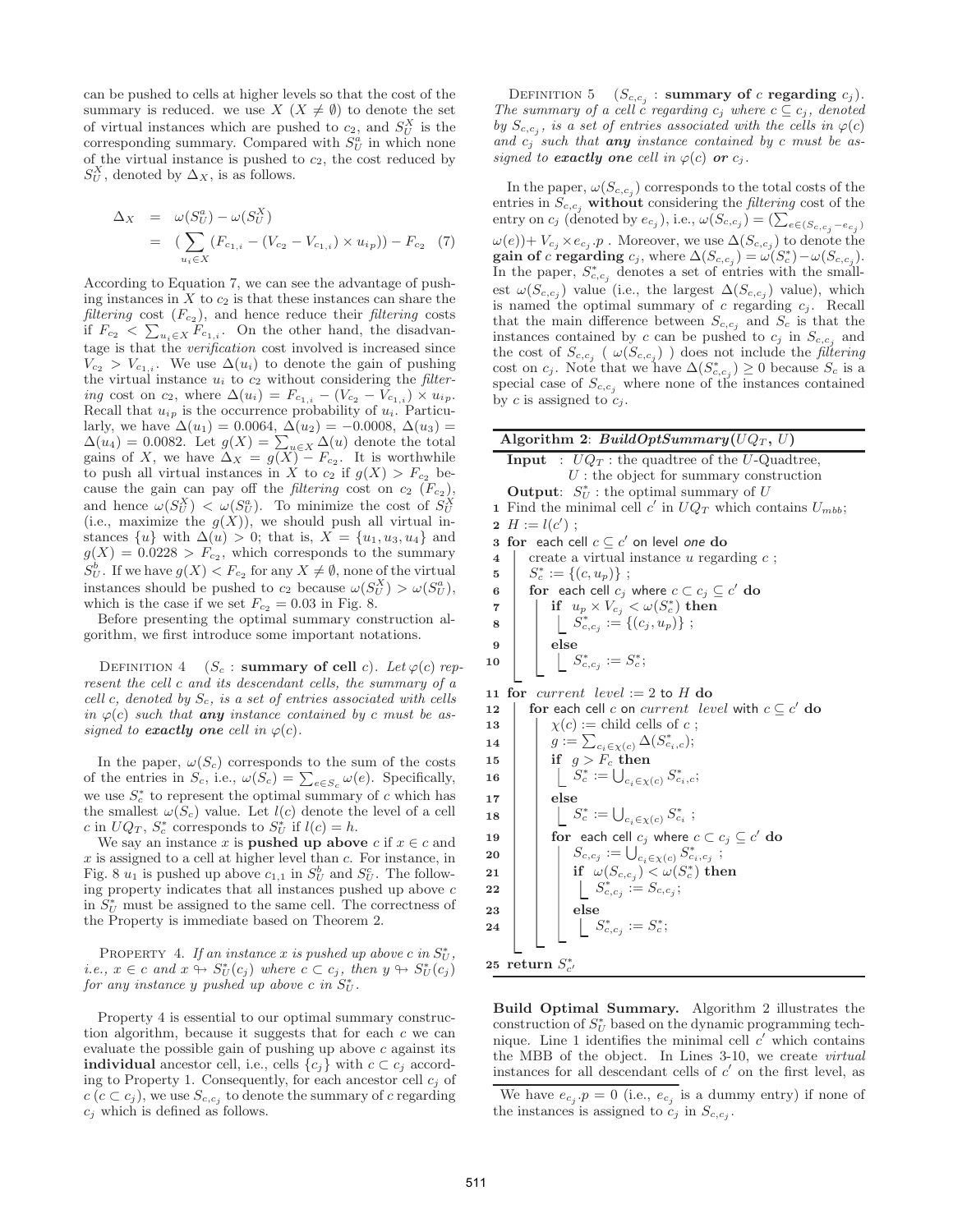can be pushed to cells at higher levels so that the cost of the summary is reduced. we use  $X(X \neq \emptyset)$  to denote the set of virtual instances which are pushed to  $c_2$ , and  $S_U^X$  is the corresponding summary. Compared with  $S_U^a$  in which none of the virtual instance is pushed to  $c_2$ , the cost reduced by  $S_U^X$ , denoted by  $\Delta_X$ , is as follows.

$$
\Delta X = \omega(S_U^a) - \omega(S_U^X) \n= \left( \sum_{u_i \in X} (F_{c_{1,i}} - (V_{c_2} - V_{c_{1,i}}) \times u_{ip}) \right) - F_{c_2} \quad (7)
$$

According to Equation 7, we can see the advantage of pushing instances in  $X$  to  $c_2$  is that these instances can share the *filtering* cost  $(F_{c_2})$ , and hence reduce their *filtering* costs if  $F_{c_2} < \sum_{u_i \in X} F_{c_1,i}$ . On the other hand, the disadvantage is that the verification cost involved is increased since  $V_{c_2} > V_{c_1,i}$ . We use  $\Delta(u_i)$  to denote the gain of pushing the virtual instance  $u_i$  to  $c_2$  without considering the *filter*ing cost on  $c_2$ , where  $\Delta(u_i) = F_{c_{1,i}} - (V_{c_2} - V_{c_{1,i}}) \times u_{ip}$ . Recall that  $u_{ip}$  is the occurrence probability of  $u_i$ . Particularly, we have  $\Delta(u_1)=0.0064, \Delta(u_2) = -0.0008, \Delta(u_3) =$  $\Delta(u_4) = 0.0082$ . Let  $g(X) = \sum_{u \in X} \Delta(u)$  denote the total gains of X, we have  $\Delta_X = g(X) - F_{c_2}$ . It is worthwhile to push all virtual instances in X to  $c_2$  if  $g(X) > F_{c_2}$  because the gain can pay off the *filtering* cost on  $c_2$  ( $\overline{F}_{c_2}$ ), and hence  $\omega(S_U^X) < \omega(S_U^a)$ . To minimize the cost of  $S_U^X$ (i.e., maximize the  $g(X)$ ), we should push all virtual instances  $\{u\}$  with  $\Delta(u) > 0$ ; that is,  $X = \{u_1, u_3, u_4\}$  and  $g(X)=0.0228 > F_{c_2}$ , which corresponds to the summary  $S_U^{\dot{b}}$ . If we have  $g(X) < F_{c_2}$  for any  $X \neq \emptyset$ , none of the virtual instances should be pushed to  $c_2$  because  $\omega(S_U^X) > \omega(S_U^a)$ , which is the case if we set  $F_{c_2} = 0.03$  in Fig. 8.

Before presenting the optimal summary construction algorithm, we first introduce some important notations.

DEFINITION 4 ( $S_c$ : **summary of cell** c). Let  $\varphi(c)$  represent the cell c and its descendant cells, the summary of a cell c, denoted by  $S_c$ , is a set of entries associated with cells in  $\varphi(c)$  such that **any** instance contained by c must be assigned to **exactly one** cell in  $\varphi(c)$ .

In the paper,  $\omega(S_c)$  corresponds to the sum of the costs of the entries in  $S_c$ , i.e.,  $\omega(S_c) = \sum_{e \in S_c} \omega(e)$ . Specifically, we use  $S_c^*$  to represent the optimal summary of c which has the smallest  $\omega(S_c)$  value. Let  $l(c)$  denote the level of a cell c in  $UQ_T$ ,  $S_c^*$  corresponds to  $S_U^*$  if  $l(c) = h$ .

We say an instance x is **pushed up above** c if  $x \in c$  and  $x$  is assigned to a cell at higher level than  $c$ . For instance, in Fig. 8  $u_1$  is pushed up above  $c_{1,1}$  in  $S_U^b$  and  $S_U^c$ . The following property indicates that all instances pushed up above  $c$ in  $S_U^*$  must be assigned to the same cell. The correctness of the Property is immediate based on Theorem 2.

PROPERTY 4. If an instance x is pushed up above c in  $S_U^*$ , *i.e.*,  $x \in c$  and  $x \oplus S_U^*(c_j)$  where  $c \subset c_j$ , then  $y \oplus S_U^*(c_j)$  $for any instance y pushed up above c in S^*_{U}.$ 

Property 4 is essential to our optimal summary construction algorithm, because it suggests that for each c we can evaluate the possible gain of pushing up above  $c$  against its **individual** ancestor cell, i.e., cells  ${c_j}$  with  $c \subset c_j$  according to Property 1. Consequently, for each ancestor cell  $c_j$  of  $c$  ( $c \subset c_j$ ), we use  $S_{c,c_j}$  to denote the summary of c regarding  $c_j$  which is defined as follows.

DEFINITION 5  $(S_{c,c_j}:$  **summary of** c **regarding**  $c_j$ . The summary of a cell c regarding  $c_j$  where  $c \subseteq c_j$ , denoted by  $S_{c,c_j}$ , is a set of entries associated with the cells in  $\varphi(c)$ and c<sup>j</sup> such that **any** instance contained by c must be assigned to **exactly one** cell in  $\varphi(c)$  **or**  $c_j$ .

In the paper,  $\omega(S_{c,c_j})$  corresponds to the total costs of the entries in  $S_{c,c_j}$  **without** considering the *filtering* cost of the entry on  $c_j$  (denoted by  $e_{c_j}$ ), i.e.,  $\omega(S_{c,c_j}) = (\sum_{e \in (S_{c,c_j} - e_{c_j})}$  $\omega(e))+V_{c_j}\times e_{c_j}.p$  . Moreover, we use  $\Delta(S_{c,c_j})$  to denote the **gain of** c **regarding**  $c_j$ , where  $\Delta(S_{c,c_j}) = \omega(S_c^*) - \omega(S_{c,c_j}).$ In the paper,  $S_{c,c_j}^*$  denotes a set of entries with the smallest  $\omega(S_{c,c_i})$  value (i.e., the largest  $\Delta(S_{c,c_i})$  value), which is named the optimal summary of  $c$  regarding  $c_j$ . Recall that the main difference between  $S_{c,c_j}$  and  $S_c$  is that the instances contained by c can be pushed to  $c_j$  in  $S_{c,c_j}$  and the cost of  $S_{c,c_j}$  (  $\omega(S_{c,c_j})$  ) does not include the *filtering* cost on  $c_j$ . Note that we have  $\Delta(S_{c,c_j}^*) \geq 0$  because  $S_c$  is a special case of  $S_{c,c_j}$  where none of the instances contained by c is assigned to  $c_j$ .

| Algorithm 2: $BuildOptSummary(UQ_T, U)$                                         |  |  |  |  |
|---------------------------------------------------------------------------------|--|--|--|--|
| <b>Input</b> : $UQ_T$ : the quadtree of the U-Quadtree,                         |  |  |  |  |
| $U$ : the object for summary construction                                       |  |  |  |  |
| <b>Output:</b> $S_U^*$ : the optimal summary of U                               |  |  |  |  |
| Find the minimal cell c' in $UQ_T$ which contains $U_{mbb}$ ;<br>1              |  |  |  |  |
| $H := l(c')$ ;<br>$\overline{2}$                                                |  |  |  |  |
| for each cell $c \subseteq c'$ on level one do<br>3                             |  |  |  |  |
| create a virtual instance $u$ regarding $c$ ;<br>4                              |  |  |  |  |
| $S_c^* := \{(c, u_p)\}\;;$<br>5                                                 |  |  |  |  |
| for each cell $c_j$ where $c \subset c_j \subseteq c'$ do<br>6                  |  |  |  |  |
| $\quad \textbf{if} \ \ u_p \times V_{c_j} < \omega(S_c^*) \ \textbf{then}$<br>7 |  |  |  |  |
| $S_{c,c_j}^* := \{(c_j, u_p)\};$<br>8                                           |  |  |  |  |
| $_{\rm else}$<br>9                                                              |  |  |  |  |
| $S_{c,c_j}^* := S_c^*;$<br>10                                                   |  |  |  |  |
|                                                                                 |  |  |  |  |
| for current level $:= 2$ to H do<br>11                                          |  |  |  |  |
| for each cell c on current level with $c \subseteq c'$ do<br>12                 |  |  |  |  |
| $\chi(c) :=$ child cells of c;<br>13                                            |  |  |  |  |
| $g := \sum_{c_i \in \chi(c)} \Delta(S_{c_i,c}^*);$<br>14                        |  |  |  |  |
| if $g > F_c$ then<br>15                                                         |  |  |  |  |
| $S_c^* := \bigcup_{c_i \in \chi(c)} S_{c_i,c}^*;$<br>16                         |  |  |  |  |
| else<br>17                                                                      |  |  |  |  |
| $S_c^* := \bigcup_{c_i \in \chi(c)} S_{c_i}^*;$<br>18                           |  |  |  |  |
| for each cell $c_j$ where $c \subset c_j \subseteq c'$ do<br>19                 |  |  |  |  |
| $S_{c,c_j} := \bigcup_{c_i \in \chi(c)} S^*_{c_i,c_j}$ ;<br>20                  |  |  |  |  |
| if $\omega(S_{c,c_j}) < \omega(S_c^*)$ then<br>21                               |  |  |  |  |
| $S_{c,c_j}^* := S_{c,c_j};$<br>22                                               |  |  |  |  |
| else<br>23                                                                      |  |  |  |  |
| $S_{c,c_j}^* := S_c^*;$<br>24                                                   |  |  |  |  |
|                                                                                 |  |  |  |  |
| 25 return $S_{c}^*$                                                             |  |  |  |  |

**Build Optimal Summary.** Algorithm 2 illustrates the construction of  $S_U^*$  based on the dynamic programming technique. Line 1 identifies the minimal cell  $c'$  which contains the MBB of the object. In Lines 3-10, we create virtual instances for all descendant cells of  $c'$  on the first level, as

We have  $e_{c_j} \cdot p = 0$  (i.e.,  $e_{c_j}$  is a dummy entry) if none of the instances is assigned to  $c_j$  in  $S_{c,c_j}$ .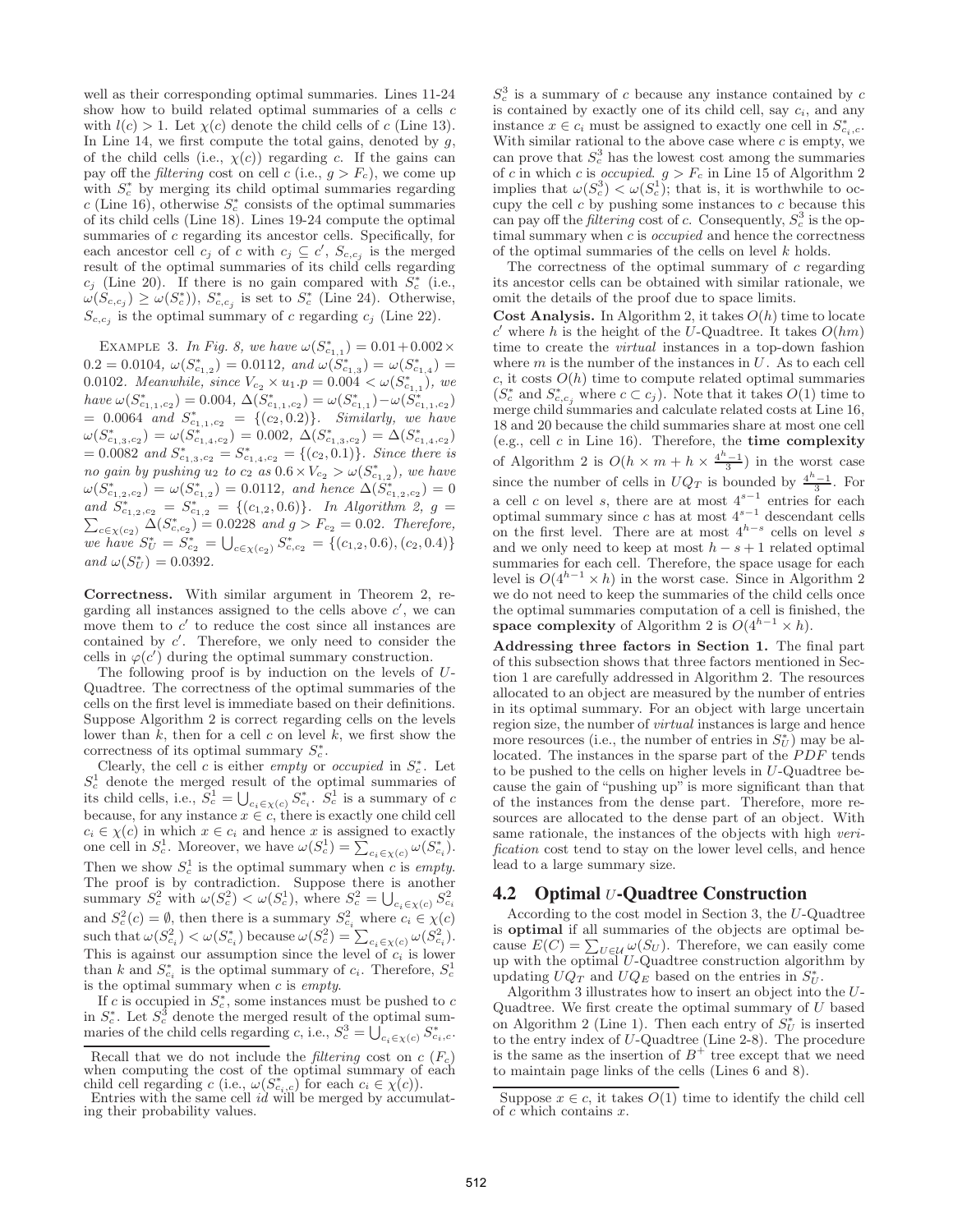well as their corresponding optimal summaries. Lines 11-24 show how to build related optimal summaries of a cells c with  $l(c) > 1$ . Let  $\chi(c)$  denote the child cells of c (Line 13). In Line 14, we first compute the total gains, denoted by  $q$ , of the child cells (i.e.,  $\chi(c)$ ) regarding c. If the gains can pay off the *filtering* cost on cell c (i.e.,  $g > F_c$ ), we come up with  $S_c^*$  by merging its child optimal summaries regarding c (Line 16), otherwise  $S_c^*$  consists of the optimal summaries of its child cells (Line 18). Lines 19-24 compute the optimal summaries of c regarding its ancestor cells. Specifically, for each ancestor cell  $c_j$  of c with  $c_j \n\subseteq c'$ ,  $S_{c,c_j}$  is the merged result of the optimal summaries of its child cells regarding  $c_j$  (Line 20). If there is no gain compared with  $S_c^*$  (i.e.,  $\omega(S_{c,c_j}) \geq \omega(S_c^*), S_{c,c_j}^*$  is set to  $S_c^*$  (Line 24). Otherwise,  $S_{c,c_j}$  is the optimal summary of c regarding  $c_j$  (Line 22).

EXAMPLE 3. In Fig. 8, we have  $\omega(S_{c_{1,1}}^{*})=0.01+0.002\times$  $0.2 = 0.0104$ ,  $\omega(S_{c_{1,2}}^{*}) = 0.0112$ , and  $\omega(S_{c_{1,3}}^{*}) = \omega(S_{c_{1,4}}^{*}) =$ 0.0102. Meanwhile, since  $V_{c_2} \times u_1.p = 0.004 < \omega(S_{c_{1,1}}^*)$ , we have  $\omega(S_{c_{1,1},c_{2}}^{*})=0.004, \ \Delta(S_{c_{1,1},c_{2}}^{*})=\omega(S_{c_{1,1}}^{*})-\omega(S_{c_{1,1},c_{2}}^{*})$  $= 0.0064$  and  $S_{c_{1,1},c_2}^* = \{(c_2,0.2)\}\$ . Similarly, we have  $\omega(S_{c_{1,3},c_{2}}^{*}) = \omega(S_{c_{1,4},c_{2}}^{*}) = 0.002, \ \Delta(S_{c_{1,3},c_{2}}^{*}) = \Delta(S_{c_{1,4},c_{2}}^{*})$  $= 0.0082$  and  $S_{c_1,3,c_2}^* = S_{c_1,4,c_2}^* = \{(c_2,0.1)\}\.$  Since there is no gain by pushing  $u_2$  to  $c_2$  as  $0.6 \times V_{c_2} > \omega(S_{c_1,2}^*)$ , we have  $\omega(S_{c_1,2,c_2}^*) = \omega(S_{c_1,2}^*) = 0.0112$ , and hence  $\Delta(S_{c_1,2,c_2}^*) = 0$ and  $S_{c_1,2,c_2}^* = S_{c_1,2}^* = \{(c_{1,2}, 0.6)\}$ . In Algorithm 2,  $g = \sum_{c \in \chi(c_2)} \Delta(S_{c,c_2}^*) = 0.0228$  and  $g > F_{c_2} = 0.02$ . Therefore, we have  $S_U^* = S_{c_2}^* = \bigcup_{c \in \chi(c_2)} S_{c,c_2}^* = \{(c_{1,2}, 0.6), (c_2, 0.4)\}$ and  $\omega(S_U^*) = 0.0392$ .

**Correctness.** With similar argument in Theorem 2, regarding all instances assigned to the cells above  $c'$ , we can move them to  $c'$  to reduce the cost since all instances are contained by c . Therefore, we only need to consider the cells in  $\varphi(c')$  during the optimal summary construction.

The following proof is by induction on the levels of U-Quadtree. The correctness of the optimal summaries of the cells on the first level is immediate based on their definitions. Suppose Algorithm 2 is correct regarding cells on the levels lower than  $k$ , then for a cell c on level k, we first show the correctness of its optimal summary  $S_c^*$ .

Clearly, the cell c is either empty or occupied in  $S_c^*$ . Let  $S_c^1$  denote the merged result of the optimal summaries of its child cells, i.e.,  $\breve{S}_c^1 = \bigcup_{c_i \in \chi(c)} S_{c_i}^*$ .  $\dot{S}_c^1$  is a summary of c because, for any instance  $x \in c$ , there is exactly one child cell  $c_i \in \chi(c)$  in which  $x \in c_i$  and hence x is assigned to exactly one cell in  $S_c^1$ . Moreover, we have  $\omega(S_c^1) = \sum_{c_i \in \chi(c)} \omega(S_{c_i}^*)$ . Then we show  $S_c^1$  is the optimal summary when c is *empty*. The proof is by contradiction. Suppose there is another summary  $S_c^2$  with  $\omega(S_c^2) < \omega(S_c^1)$ , where  $S_c^2 = \bigcup_{c_i \in \chi(c)} S_{c_i}^2$ and  $S_c^2(c) = \emptyset$ , then there is a summary  $S_{c_i}^2$  where  $c_i \in \chi(c)$ such that  $\omega(S_{c_i}^2) < \omega(S_{c_i}^*)$  because  $\omega(S_c^2) = \sum_{c_i \in \chi(c)} \omega(S_{c_i}^2)$ . This is against our assumption since the level of  $c_i$  is lower than k and  $S_{c_i}^*$  is the optimal summary of  $c_i$ . Therefore,  $S_c^1$ is the optimal summary when  $c$  is *empty*.

If c is occupied in  $S_c^*$ , some instances must be pushed to c in  $S_c^*$ . Let  $S_c^3$  denote the merged result of the optimal summaries of the child cells regarding c, i.e.,  $S_c^3 = \bigcup_{c_i \in \chi(c)}^s S_{c_i,c}^*$ .

 $S_c^3$  is a summary of c because any instance contained by c is contained by exactly one of its child cell, say  $c_i$ , and any instance  $x \in c_i$  must be assigned to exactly one cell in  $S_{c_i,c}^*$ . With similar rational to the above case where  $c$  is empty, we can prove that  $S_c^3$  has the lowest cost among the summaries of c in which c is occupied.  $g > F_c$  in Line 15 of Algorithm 2 implies that  $\omega(S_c^3) < \omega(S_c^1)$ ; that is, it is worthwhile to occupy the cell  $c$  by pushing some instances to  $c$  because this can pay off the *filtering* cost of c. Consequently,  $S_c^3$  is the optimal summary when  $c$  is  $occupied$  and hence the correctness of the optimal summaries of the cells on level  $k$  holds.

The correctness of the optimal summary of c regarding its ancestor cells can be obtained with similar rationale, we omit the details of the proof due to space limits.

**Cost Analysis.** In Algorithm 2, it takes  $O(h)$  time to locate c' where h is the height of the U-Quadtree. It takes  $O(hm)$ time to create the virtual instances in a top-down fashion where  $m$  is the number of the instances in  $U$ . As to each cell c, it costs  $O(h)$  time to compute related optimal summaries  $(S_c^* \text{ and } S_{c,c_j}^*$  where  $c \subset c_j$ ). Note that it takes  $O(1)$  time to merge child summaries and calculate related costs at Line 16, 18 and 20 because the child summaries share at most one cell (e.g., cell c in Line 16). Therefore, the **time complexity** of Algorithm 2 is  $O(h \times m + h \times \frac{4^{h}-1}{3})$  in the worst case since the number of cells in  $UQ_T$  is bounded by  $\frac{4^h-1}{3}$ . For a cell c on level s, there are at most  $4^{s-1}$  entries for each optimal summary since c has at most  $4^{s-1}$  descendant cells on the first level. There are at most  $4^{h-s}$  cells on level s and we only need to keep at most  $h - s + 1$  related optimal summaries for each cell. Therefore, the space usage for each level is  $O(4^{h-1} \times h)$  in the worst case. Since in Algorithm 2 we do not need to keep the summaries of the child cells once the optimal summaries computation of a cell is finished, the **space complexity** of Algorithm 2 is  $O(4^{h-1} \times h)$ .

**Addressing three factors in Section 1.** The final part of this subsection shows that three factors mentioned in Section 1 are carefully addressed in Algorithm 2. The resources allocated to an object are measured by the number of entries in its optimal summary. For an object with large uncertain region size, the number of virtual instances is large and hence more resources (i.e., the number of entries in  $S_U^*$ ) may be allocated. The instances in the sparse part of the PDF tends to be pushed to the cells on higher levels in U-Quadtree because the gain of "pushing up" is more significant than that of the instances from the dense part. Therefore, more resources are allocated to the dense part of an object. With same rationale, the instances of the objects with high *veri*fication cost tend to stay on the lower level cells, and hence lead to a large summary size.

#### **4.2 Optimal** U**-Quadtree Construction**

According to the cost model in Section 3, the U-Quadtree is **optimal** if all summaries of the objects are optimal because  $E(C) = \sum_{U \in \mathcal{U}} \omega(S_U)$ . Therefore, we can easily come up with the optimal U-Quadtree construction algorithm by updating  $UQ_T$  and  $UQ_E$  based on the entries in  $S_U^*$ .

Algorithm 3 illustrates how to insert an object into the U-Quadtree. We first create the optimal summary of  $U$  based on Algorithm 2 (Line 1). Then each entry of  $S_U^*$  is inserted to the entry index of U-Quadtree (Line 2-8). The procedure is the same as the insertion of  $B^+$  tree except that we need to maintain page links of the cells (Lines 6 and 8).

Recall that we do not include the *filtering* cost on  $c(F_c)$ when computing the cost of the optimal summary of each child cell regarding c (i.e.,  $\omega(S_{\epsilon_i,c}^*)$  for each  $c_i \in \chi(c)$ ).<br>Entries with the same cell *id* will be merged by accumulat-

ing their probability values.

Suppose  $x \in c$ , it takes  $O(1)$  time to identify the child cell of  $c$  which contains  $x$ .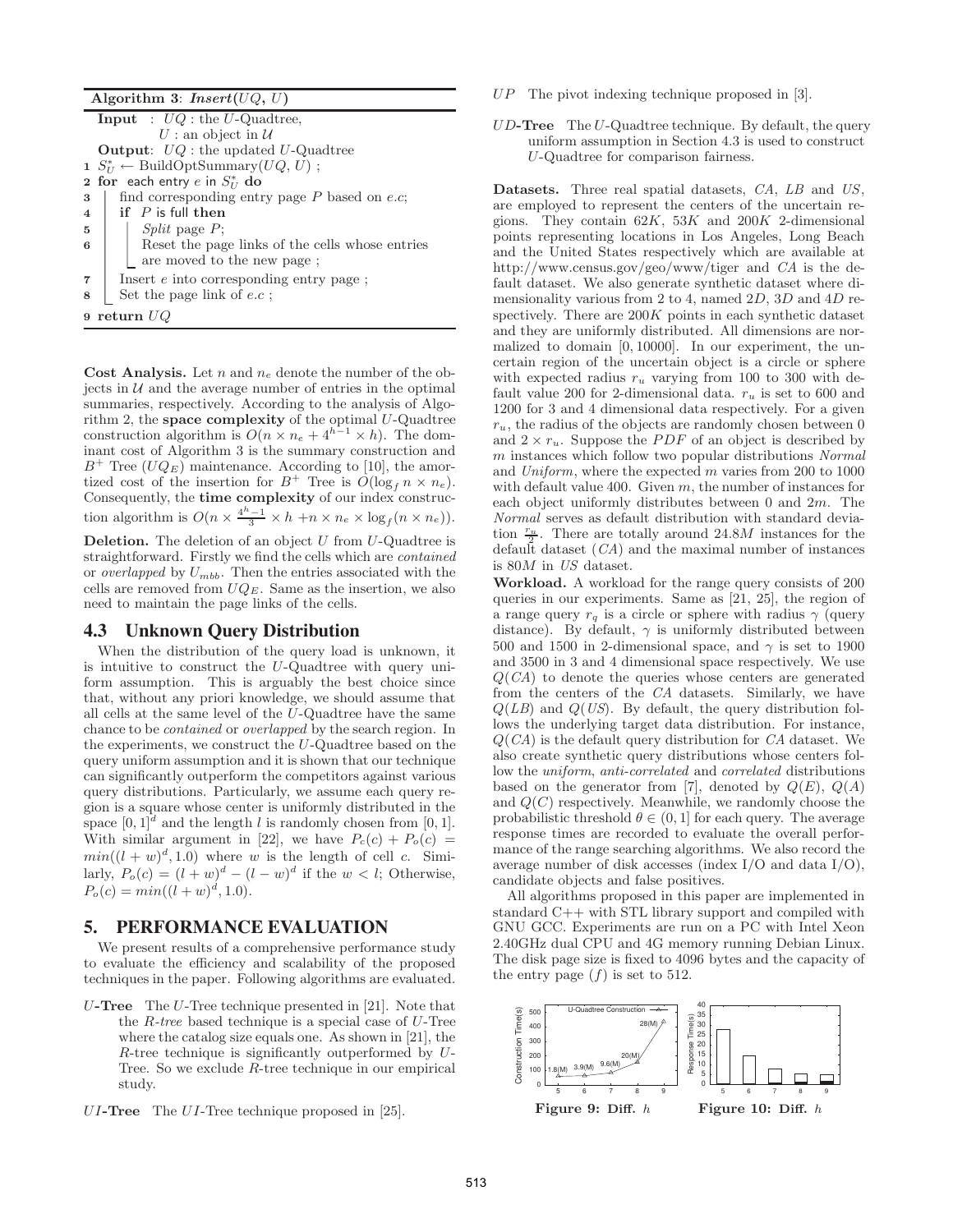Algorithm 3:  $Insert(UQ, U)$ 

**Input** : UQ : the U-Quadtree,  $U:$  an object in  $U$ **Output**: UQ : the updated U-Quadtree  $S_U^*$  ← BuildOptSummary( $UQ, U$ );  **for** each entry  $e$  in  $S_U^*$  do | find corresponding entry page P based on e.c; **if** P is full **then** Split page P; Reset the page links of the cells whose entries are moved to the new page ; Insert e into corresponding entry page ; Set the page link of *e.c*; **return** UQ

**Cost Analysis.** Let n and  $n_e$  denote the number of the objects in  $U$  and the average number of entries in the optimal summaries, respectively. According to the analysis of Algorithm 2, the **space complexity** of the optimal U-Quadtree construction algorithm is  $O(n \times n_e + 4^{h-1} \times h)$ . The dominant cost of Algorithm 3 is the summary construction and  $B^+$  Tree  $(UQ_E)$  maintenance. According to [10], the amortized cost of the insertion for  $B^+$  Tree is  $O(\log_f n \times n_e)$ . Consequently, the **time complexity** of our index construction algorithm is  $O(n \times \frac{4^{h}-1}{3} \times h + n \times n_e \times \log_f(n \times n_e)).$ 

**Deletion.** The deletion of an object U from U-Quadtree is straightforward. Firstly we find the cells which are contained or *overlapped* by  $U_{mbb}$ . Then the entries associated with the cells are removed from  $UQ_E$ . Same as the insertion, we also need to maintain the page links of the cells.

### **4.3 Unknown Query Distribution**

When the distribution of the query load is unknown, it is intuitive to construct the  $U$ -Quadtree with query uniform assumption. This is arguably the best choice since that, without any priori knowledge, we should assume that all cells at the same level of the U-Quadtree have the same chance to be contained or overlapped by the search region. In the experiments, we construct the U-Quadtree based on the query uniform assumption and it is shown that our technique can significantly outperform the competitors against various query distributions. Particularly, we assume each query region is a square whose center is uniformly distributed in the space  $[0, 1]^d$  and the length l is randomly chosen from  $[0, 1]$ . With similar argument in [22], we have  $P_c(c) + P_o(c) =$  $min((l + w)^d, 1.0)$  where w is the length of cell c. Similarly,  $P_o(c) = (l + w)^d - (l - w)^d$  if the  $w < l$ ; Otherwise,  $P_o(c) = min((l+w)^d, 1.0).$ 

# **5. PERFORMANCE EVALUATION**

We present results of a comprehensive performance study to evaluate the efficiency and scalability of the proposed techniques in the paper. Following algorithms are evaluated.

- U**-Tree** The U-Tree technique presented in [21]. Note that the  $R$ -tree based technique is a special case of  $U$ -Tree where the catalog size equals one. As shown in [21], the  $R$ -tree technique is significantly outperformed by  $U$ -Tree. So we exclude R-tree technique in our empirical study.
- UI**-Tree** The UI-Tree technique proposed in [25].
- $UP$  The pivot indexing technique proposed in [3].
- UD**-Tree** The U-Quadtree technique. By default, the query uniform assumption in Section 4.3 is used to construct U-Quadtree for comparison fairness.

**Datasets.** Three real spatial datasets, CA, LB and US, are employed to represent the centers of the uncertain regions. They contain  $62K$ ,  $53K$  and  $200K$  2-dimensional points representing locations in Los Angeles, Long Beach and the United States respectively which are available at http://www.census.gov/geo/www/tiger and CA is the default dataset. We also generate synthetic dataset where dimensionality various from 2 to 4, named 2D, 3D and 4D respectively. There are  $200K$  points in each synthetic dataset and they are uniformly distributed. All dimensions are normalized to domain [0, 10000]. In our experiment, the uncertain region of the uncertain object is a circle or sphere with expected radius  $r_u$  varying from 100 to 300 with default value 200 for 2-dimensional data.  $r_u$  is set to 600 and 1200 for 3 and 4 dimensional data respectively. For a given  $r_u$ , the radius of the objects are randomly chosen between 0 and  $2 \times r_u$ . Suppose the *PDF* of an object is described by m instances which follow two popular distributions Normal and Uniform, where the expected m varies from 200 to 1000 with default value 400. Given  $m$ , the number of instances for each object uniformly distributes between 0 and 2m. The Normal serves as default distribution with standard deviation  $\frac{r_u}{2}$ . There are totally around 24.8M instances for the default dataset  $(CA)$  and the maximal number of instances is 80M in US dataset.

**Workload.** A workload for the range query consists of 200 queries in our experiments. Same as [21, 25], the region of a range query  $r_q$  is a circle or sphere with radius  $\gamma$  (query distance). By default,  $\gamma$  is uniformly distributed between 500 and 1500 in 2-dimensional space, and  $\gamma$  is set to 1900 and 3500 in 3 and 4 dimensional space respectively. We use  $Q(CA)$  to denote the queries whose centers are generated from the centers of the CA datasets. Similarly, we have  $Q(LB)$  and  $Q(US)$ . By default, the query distribution follows the underlying target data distribution. For instance,  $Q(CA)$  is the default query distribution for  $CA$  dataset. We also create synthetic query distributions whose centers follow the uniform, anti-correlated and correlated distributions based on the generator from [7], denoted by  $Q(E)$ ,  $Q(A)$ and  $Q(C)$  respectively. Meanwhile, we randomly choose the probabilistic threshold  $\theta \in (0, 1]$  for each query. The average response times are recorded to evaluate the overall performance of the range searching algorithms. We also record the average number of disk accesses (index I/O and data I/O), candidate objects and false positives.

All algorithms proposed in this paper are implemented in standard C++ with STL library support and compiled with GNU GCC. Experiments are run on a PC with Intel Xeon 2.40GHz dual CPU and 4G memory running Debian Linux. The disk page size is fixed to 4096 bytes and the capacity of the entry page  $(f)$  is set to 512.

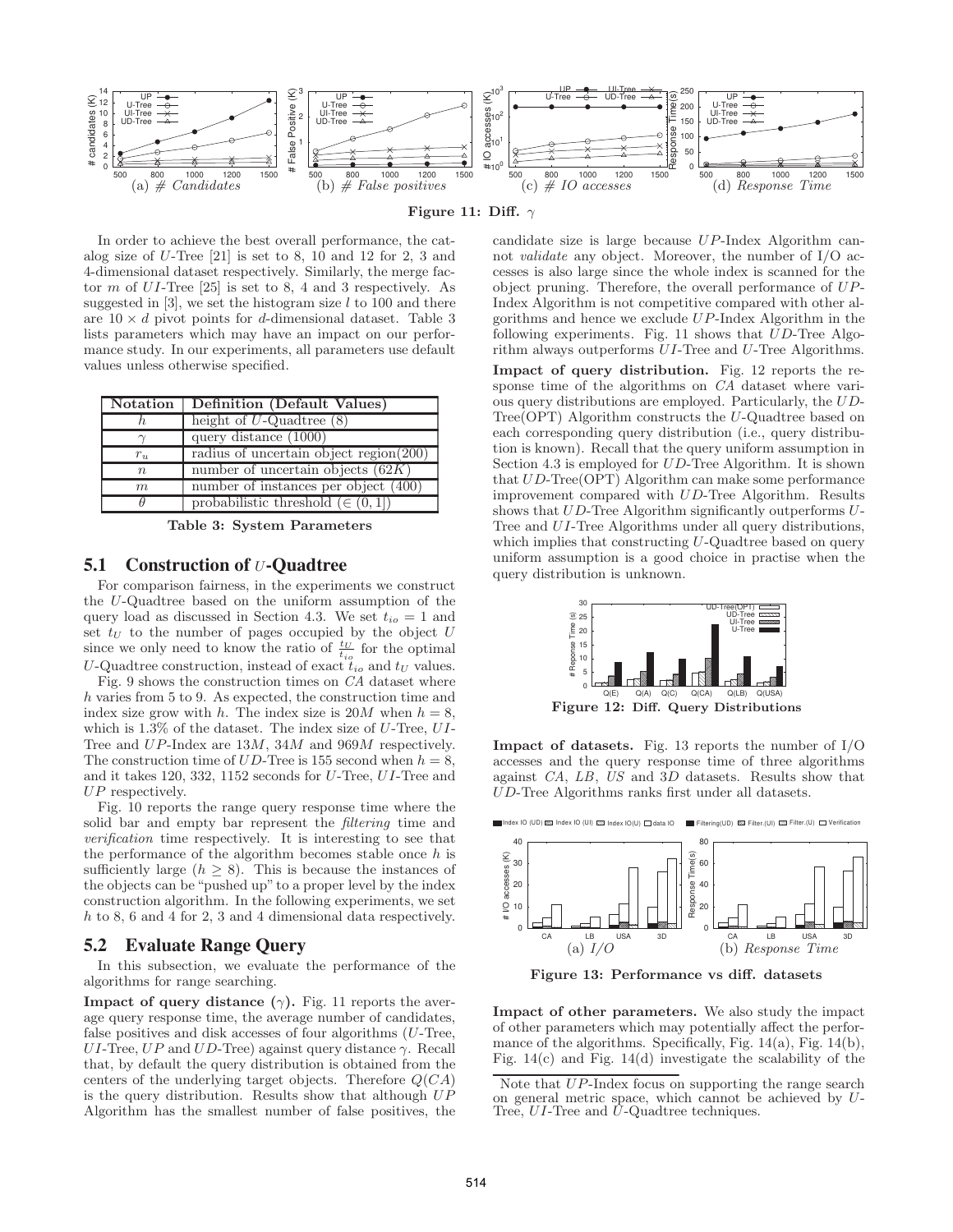

**Figure 11: Diff.**  $\gamma$ 

In order to achieve the best overall performance, the catalog size of U-Tree [21] is set to 8, 10 and 12 for 2, 3 and 4-dimensional dataset respectively. Similarly, the merge factor  $m$  of UI-Tree [25] is set to 8, 4 and 3 respectively. As suggested in  $[3]$ , we set the histogram size l to 100 and there are  $10 \times d$  pivot points for d-dimensional dataset. Table 3 lists parameters which may have an impact on our performance study. In our experiments, all parameters use default values unless otherwise specified.

| Notation    | Definition (Default Values)               |
|-------------|-------------------------------------------|
|             | height of $U$ -Quadtree $(8)$             |
|             | query distance (1000)                     |
| $r_u$       | radius of uncertain object region $(200)$ |
| $n_{\rm c}$ | number of uncertain objects $(62K)$       |
| m           | number of instances per object (400)      |
|             | probabilistic threshold $(\in (0,1])$     |

**Table 3: System Parameters**

#### **5.1 Construction of** U**-Quadtree**

For comparison fairness, in the experiments we construct the U-Quadtree based on the uniform assumption of the query load as discussed in Section 4.3. We set  $t_{io} = 1$  and set  $t_U$  to the number of pages occupied by the object  $U$ since we only need to know the ratio of  $\frac{t_U}{t_{io}}$  for the optimal U-Quadtree construction, instead of exact  $t_{io}$  and  $t_U$  values.

Fig. 9 shows the construction times on CA dataset where h varies from 5 to 9. As expected, the construction time and index size grow with h. The index size is  $20M$  when  $h = 8$ , which is  $1.3\%$  of the dataset. The index size of U-Tree, UI-Tree and UP-Index are 13M, 34M and 969M respectively. The construction time of UD-Tree is 155 second when  $h = 8$ , and it takes 120, 332, 1152 seconds for U-Tree, UI-Tree and UP respectively.

Fig. 10 reports the range query response time where the solid bar and empty bar represent the filtering time and verification time respectively. It is interesting to see that the performance of the algorithm becomes stable once  $h$  is sufficiently large  $(h \geq 8)$ . This is because the instances of the objects can be "pushed up" to a proper level by the index construction algorithm. In the following experiments, we set h to 8, 6 and 4 for 2, 3 and 4 dimensional data respectively.

#### **5.2 Evaluate Range Query**

In this subsection, we evaluate the performance of the algorithms for range searching.

**Impact of query distance**  $(\gamma)$ **. Fig. 11 reports the aver**age query response time, the average number of candidates, false positives and disk accesses of four algorithms (U-Tree, UI-Tree, UP and UD-Tree) against query distance  $\gamma$ . Recall that, by default the query distribution is obtained from the centers of the underlying target objects. Therefore  $Q(CA)$ is the query distribution. Results show that although  $UP$ Algorithm has the smallest number of false positives, the candidate size is large because UP-Index Algorithm cannot validate any object. Moreover, the number of I/O accesses is also large since the whole index is scanned for the object pruning. Therefore, the overall performance of UP-Index Algorithm is not competitive compared with other algorithms and hence we exclude UP-Index Algorithm in the following experiments. Fig. 11 shows that UD-Tree Algorithm always outperforms  $UI\mbox{-}\mathrm{Tree}$  and  $U\mbox{-}\mathrm{Tree}$  Algorithms.

**Impact of query distribution.** Fig. 12 reports the response time of the algorithms on CA dataset where various query distributions are employed. Particularly, the UD-Tree(OPT) Algorithm constructs the U-Quadtree based on each corresponding query distribution (i.e., query distribution is known). Recall that the query uniform assumption in Section 4.3 is employed for UD-Tree Algorithm. It is shown that UD-Tree(OPT) Algorithm can make some performance improvement compared with UD-Tree Algorithm. Results shows that UD-Tree Algorithm significantly outperforms U-Tree and UI-Tree Algorithms under all query distributions, which implies that constructing U-Quadtree based on query uniform assumption is a good choice in practise when the query distribution is unknown.



**Impact of datasets.** Fig. 13 reports the number of I/O accesses and the query response time of three algorithms against CA, LB, US and 3D datasets. Results show that UD-Tree Algorithms ranks first under all datasets.



**Figure 13: Performance vs diff. datasets**

**Impact of other parameters.** We also study the impact of other parameters which may potentially affect the performance of the algorithms. Specifically, Fig.  $14(a)$ , Fig.  $14(b)$ , Fig. 14(c) and Fig. 14(d) investigate the scalability of the

Note that UP-Index focus on supporting the range search on general metric space, which cannot be achieved by  $U$ -Tree,  $UI$ -Tree and  $U$ -Quadtree techniques.